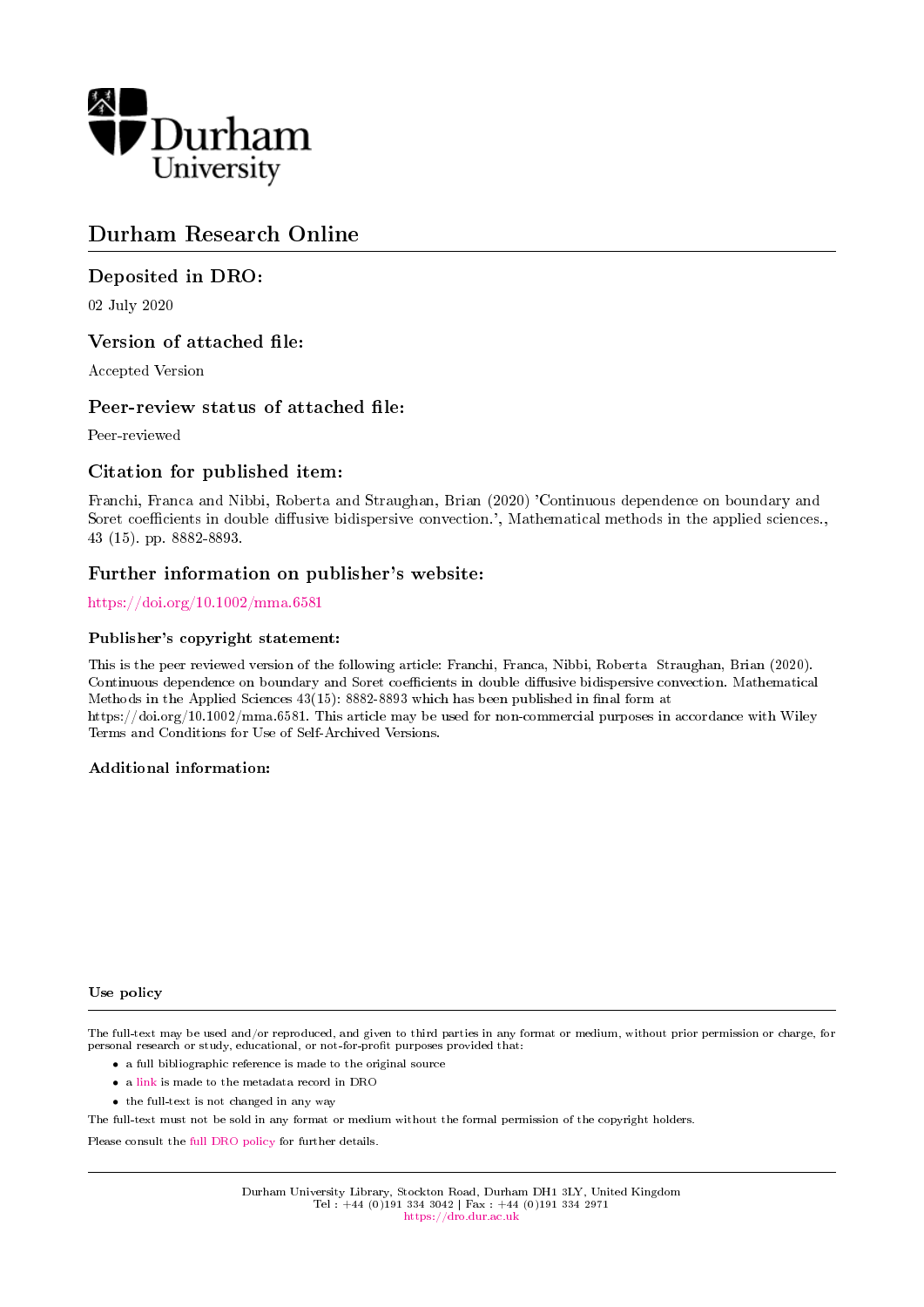

## Durham Research Online

### Deposited in DRO:

02 July 2020

### Version of attached file:

Accepted Version

### Peer-review status of attached file:

Peer-reviewed

### Citation for published item:

Franchi, Franca and Nibbi, Roberta and Straughan, Brian (2020) 'Continuous dependence on boundary and Soret coefficients in double diffusive bidispersive convection.', Mathematical methods in the applied sciences., 43 (15). pp. 8882-8893.

### Further information on publisher's website:

<https://doi.org/10.1002/mma.6581>

#### Publisher's copyright statement:

This is the peer reviewed version of the following article: Franchi, Franca, Nibbi, Roberta Straughan, Brian (2020). Continuous dependence on boundary and Soret coefficients in double diffusive bidispersive convection. Mathematical Methods in the Applied Sciences  $43(15)$ : 8882-8893 which has been published in final form at https://doi.org/10.1002/mma.6581. This article may be used for non-commercial purposes in accordance with Wiley Terms and Conditions for Use of Self-Archived Versions.

#### Additional information:

#### Use policy

The full-text may be used and/or reproduced, and given to third parties in any format or medium, without prior permission or charge, for personal research or study, educational, or not-for-profit purposes provided that:

- a full bibliographic reference is made to the original source
- a [link](http://dro.dur.ac.uk/31193/) is made to the metadata record in DRO
- the full-text is not changed in any way

The full-text must not be sold in any format or medium without the formal permission of the copyright holders.

Please consult the [full DRO policy](https://dro.dur.ac.uk/policies/usepolicy.pdf) for further details.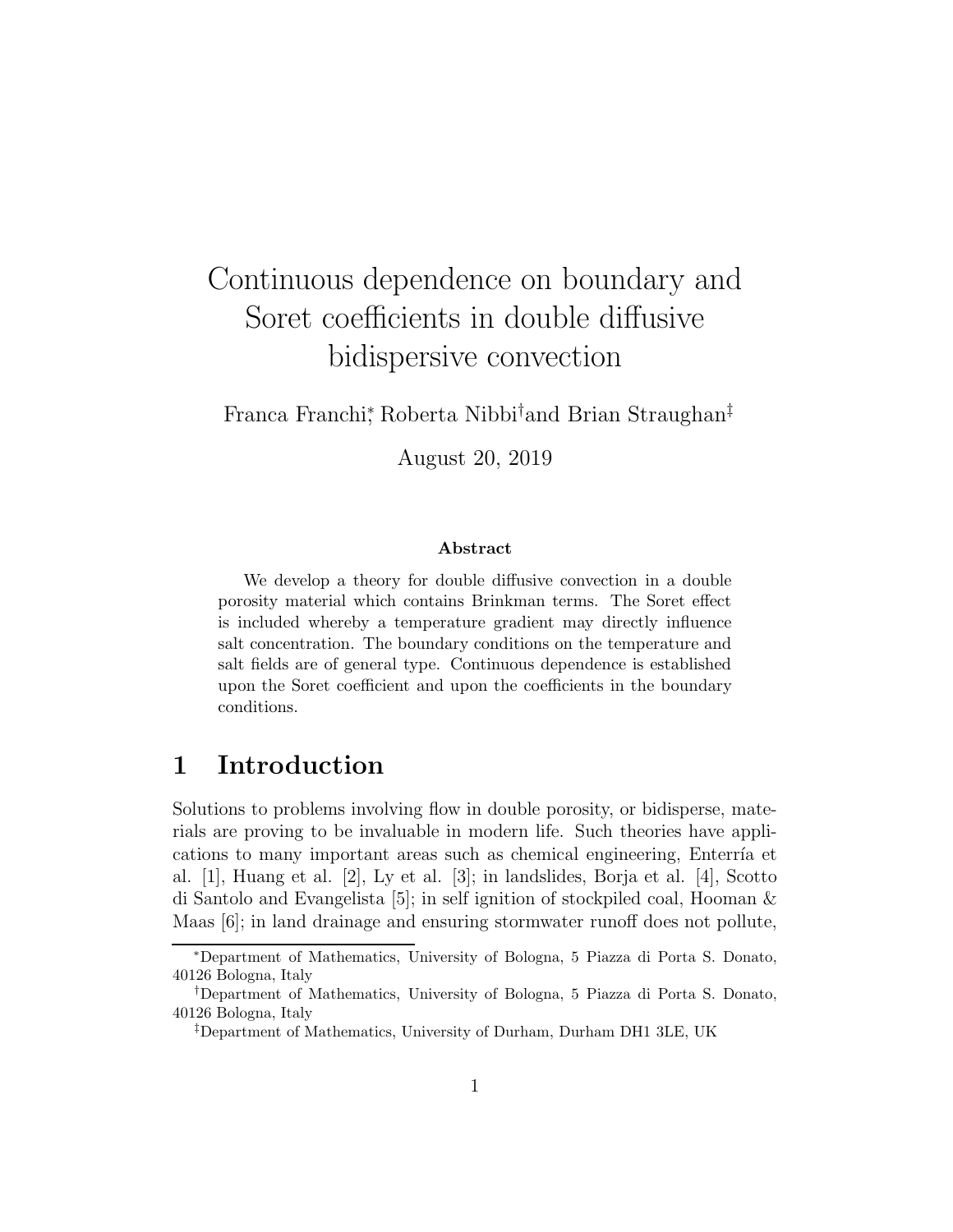# Continuous dependence on boundary and Soret coefficients in double diffusive bidispersive convection

Franca Franchi<sup>∗</sup> , Roberta Nibbi†and Brian Straughan‡

August 20, 2019

#### Abstract

We develop a theory for double diffusive convection in a double porosity material which contains Brinkman terms. The Soret effect is included whereby a temperature gradient may directly influence salt concentration. The boundary conditions on the temperature and salt fields are of general type. Continuous dependence is established upon the Soret coefficient and upon the coefficients in the boundary conditions.

# 1 Introduction

Solutions to problems involving flow in double porosity, or bidisperse, materials are proving to be invaluable in modern life. Such theories have applications to many important areas such as chemical engineering, Enterría et al. [1], Huang et al. [2], Ly et al. [3]; in landslides, Borja et al. [4], Scotto di Santolo and Evangelista [5]; in self ignition of stockpiled coal, Hooman & Maas [6]; in land drainage and ensuring stormwater runoff does not pollute,

<sup>∗</sup>Department of Mathematics, University of Bologna, 5 Piazza di Porta S. Donato, 40126 Bologna, Italy

<sup>†</sup>Department of Mathematics, University of Bologna, 5 Piazza di Porta S. Donato, 40126 Bologna, Italy

<sup>‡</sup>Department of Mathematics, University of Durham, Durham DH1 3LE, UK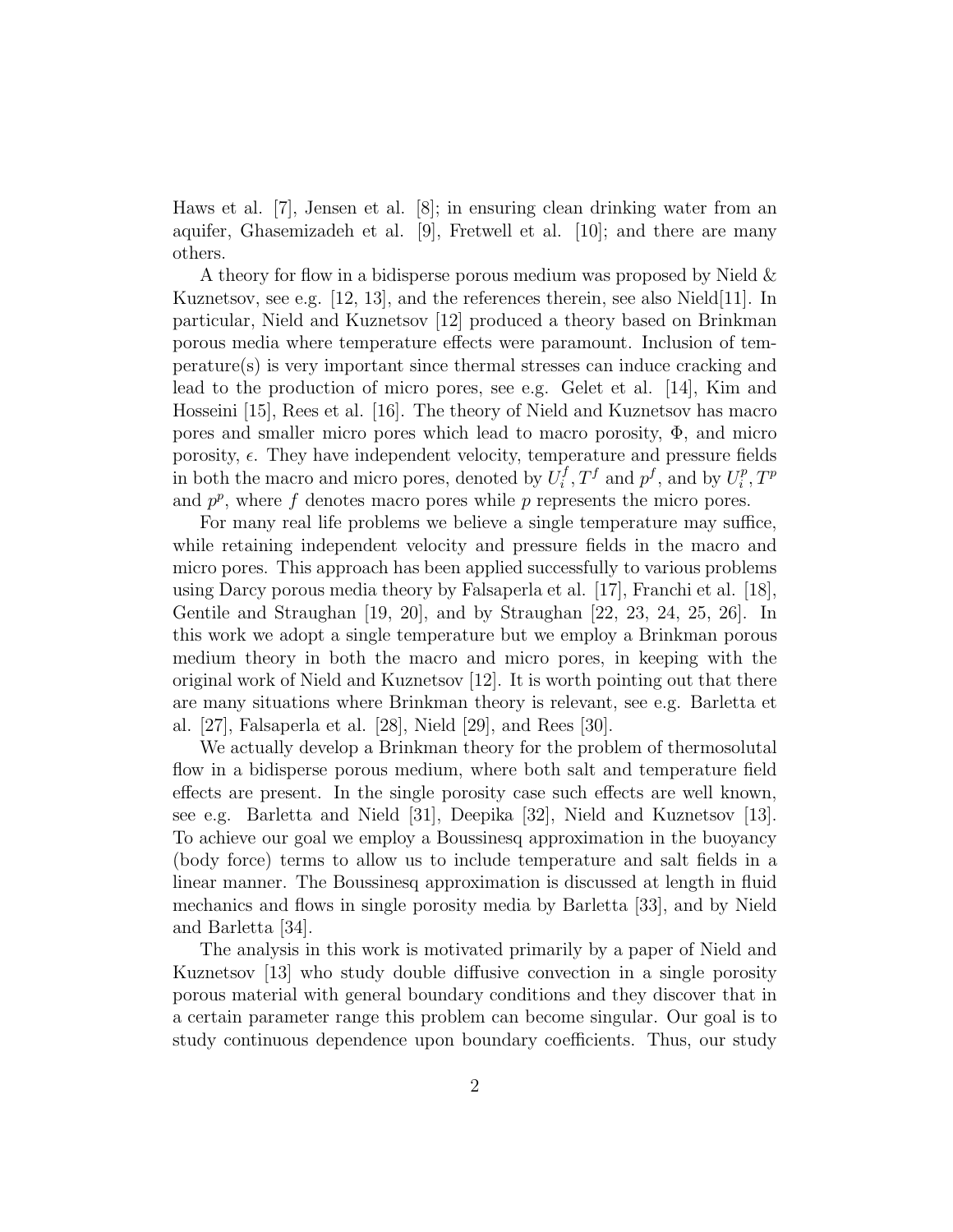Haws et al. [7], Jensen et al. [8]; in ensuring clean drinking water from an aquifer, Ghasemizadeh et al. [9], Fretwell et al. [10]; and there are many others.

A theory for flow in a bidisperse porous medium was proposed by Nield & Kuznetsov, see e.g.  $[12, 13]$ , and the references therein, see also Nield $[11]$ . In particular, Nield and Kuznetsov [12] produced a theory based on Brinkman porous media where temperature effects were paramount. Inclusion of temperature(s) is very important since thermal stresses can induce cracking and lead to the production of micro pores, see e.g. Gelet et al. [14], Kim and Hosseini [15], Rees et al. [16]. The theory of Nield and Kuznetsov has macro pores and smaller micro pores which lead to macro porosity,  $\Phi$ , and micro porosity,  $\epsilon$ . They have independent velocity, temperature and pressure fields in both the macro and micro pores, denoted by  $U_i^f$  $T_i^f, T^f$  and  $p^f$ , and by  $U_i^p$  $i^p, T^p$ and  $p^p$ , where f denotes macro pores while p represents the micro pores.

For many real life problems we believe a single temperature may suffice, while retaining independent velocity and pressure fields in the macro and micro pores. This approach has been applied successfully to various problems using Darcy porous media theory by Falsaperla et al. [17], Franchi et al. [18], Gentile and Straughan [19, 20], and by Straughan [22, 23, 24, 25, 26]. In this work we adopt a single temperature but we employ a Brinkman porous medium theory in both the macro and micro pores, in keeping with the original work of Nield and Kuznetsov [12]. It is worth pointing out that there are many situations where Brinkman theory is relevant, see e.g. Barletta et al. [27], Falsaperla et al. [28], Nield [29], and Rees [30].

We actually develop a Brinkman theory for the problem of thermosolutal flow in a bidisperse porous medium, where both salt and temperature field effects are present. In the single porosity case such effects are well known, see e.g. Barletta and Nield [31], Deepika [32], Nield and Kuznetsov [13]. To achieve our goal we employ a Boussinesq approximation in the buoyancy (body force) terms to allow us to include temperature and salt fields in a linear manner. The Boussinesq approximation is discussed at length in fluid mechanics and flows in single porosity media by Barletta [33], and by Nield and Barletta [34].

The analysis in this work is motivated primarily by a paper of Nield and Kuznetsov [13] who study double diffusive convection in a single porosity porous material with general boundary conditions and they discover that in a certain parameter range this problem can become singular. Our goal is to study continuous dependence upon boundary coefficients. Thus, our study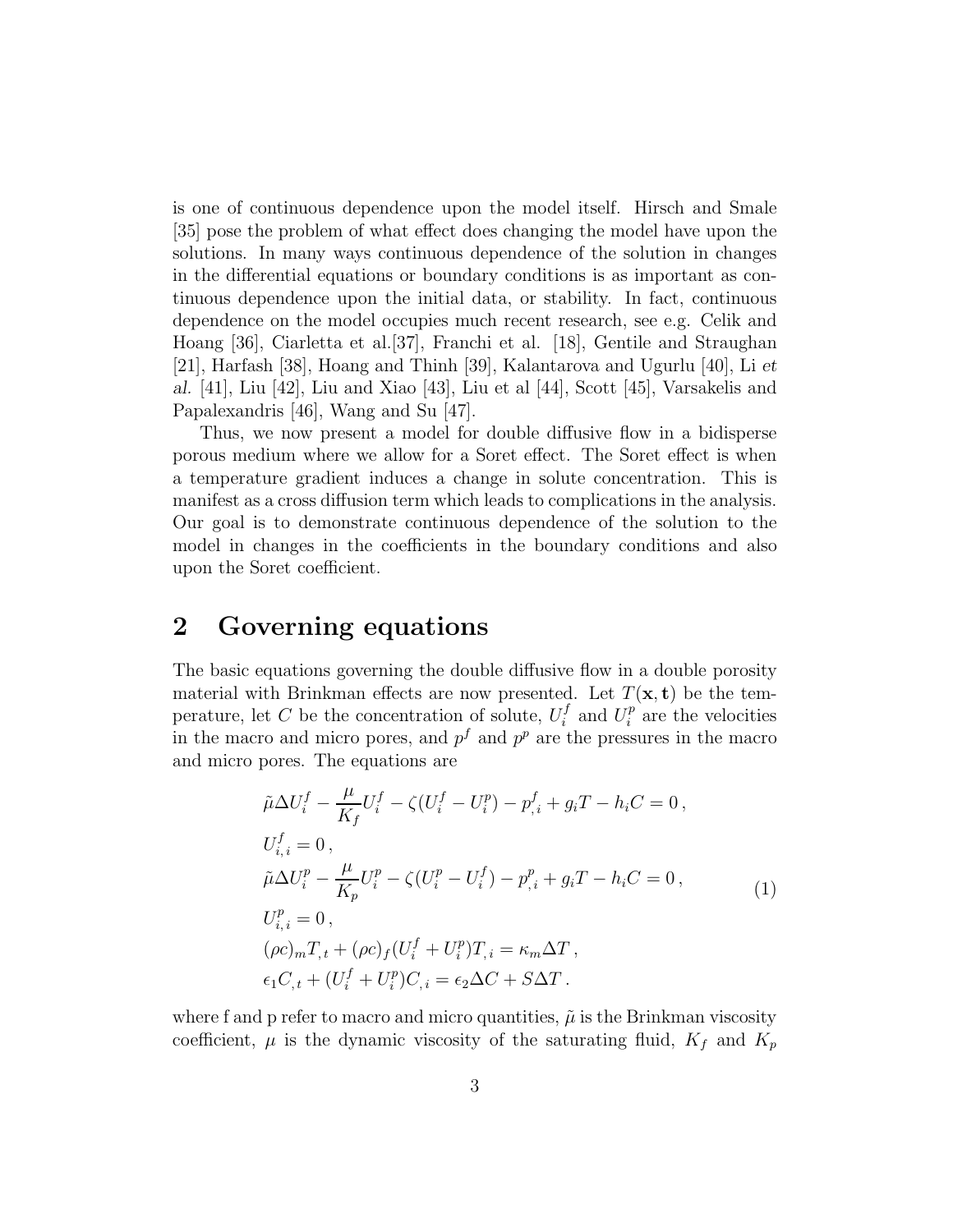is one of continuous dependence upon the model itself. Hirsch and Smale [35] pose the problem of what effect does changing the model have upon the solutions. In many ways continuous dependence of the solution in changes in the differential equations or boundary conditions is as important as continuous dependence upon the initial data, or stability. In fact, continuous dependence on the model occupies much recent research, see e.g. Celik and Hoang [36], Ciarletta et al.[37], Franchi et al. [18], Gentile and Straughan [21], Harfash [38], Hoang and Thinh [39], Kalantarova and Ugurlu [40], Li et al. [41], Liu [42], Liu and Xiao [43], Liu et al [44], Scott [45], Varsakelis and Papalexandris [46], Wang and Su [47].

Thus, we now present a model for double diffusive flow in a bidisperse porous medium where we allow for a Soret effect. The Soret effect is when a temperature gradient induces a change in solute concentration. This is manifest as a cross diffusion term which leads to complications in the analysis. Our goal is to demonstrate continuous dependence of the solution to the model in changes in the coefficients in the boundary conditions and also upon the Soret coefficient.

# 2 Governing equations

The basic equations governing the double diffusive flow in a double porosity material with Brinkman effects are now presented. Let  $T(\mathbf{x}, t)$  be the temperature, let C be the concentration of solute,  $U_i^f$  $U_i^f$  and  $U_i^p$  $i<sup>p</sup>$  are the velocities in the macro and micro pores, and  $p<sup>f</sup>$  and  $p<sup>p</sup>$  are the pressures in the macro and micro pores. The equations are

$$
\tilde{\mu}\Delta U_i^f - \frac{\mu}{K_f} U_i^f - \zeta (U_i^f - U_i^p) - p_{,i}^f + g_i T - h_i C = 0,
$$
  
\n
$$
U_{i,i}^f = 0,
$$
  
\n
$$
\tilde{\mu}\Delta U_i^p - \frac{\mu}{K_p} U_i^p - \zeta (U_i^p - U_i^f) - p_{,i}^p + g_i T - h_i C = 0,
$$
  
\n
$$
U_{i,i}^p = 0,
$$
  
\n
$$
(\rho c)_m T_{,t} + (\rho c)_f (U_i^f + U_i^p) T_{,i} = \kappa_m \Delta T,
$$
  
\n
$$
\epsilon_1 C_{,t} + (U_i^f + U_i^p) C_{,i} = \epsilon_2 \Delta C + S \Delta T.
$$
\n(1)

where f and p refer to macro and micro quantities,  $\tilde{\mu}$  is the Brinkman viscosity coefficient,  $\mu$  is the dynamic viscosity of the saturating fluid,  $K_f$  and  $K_p$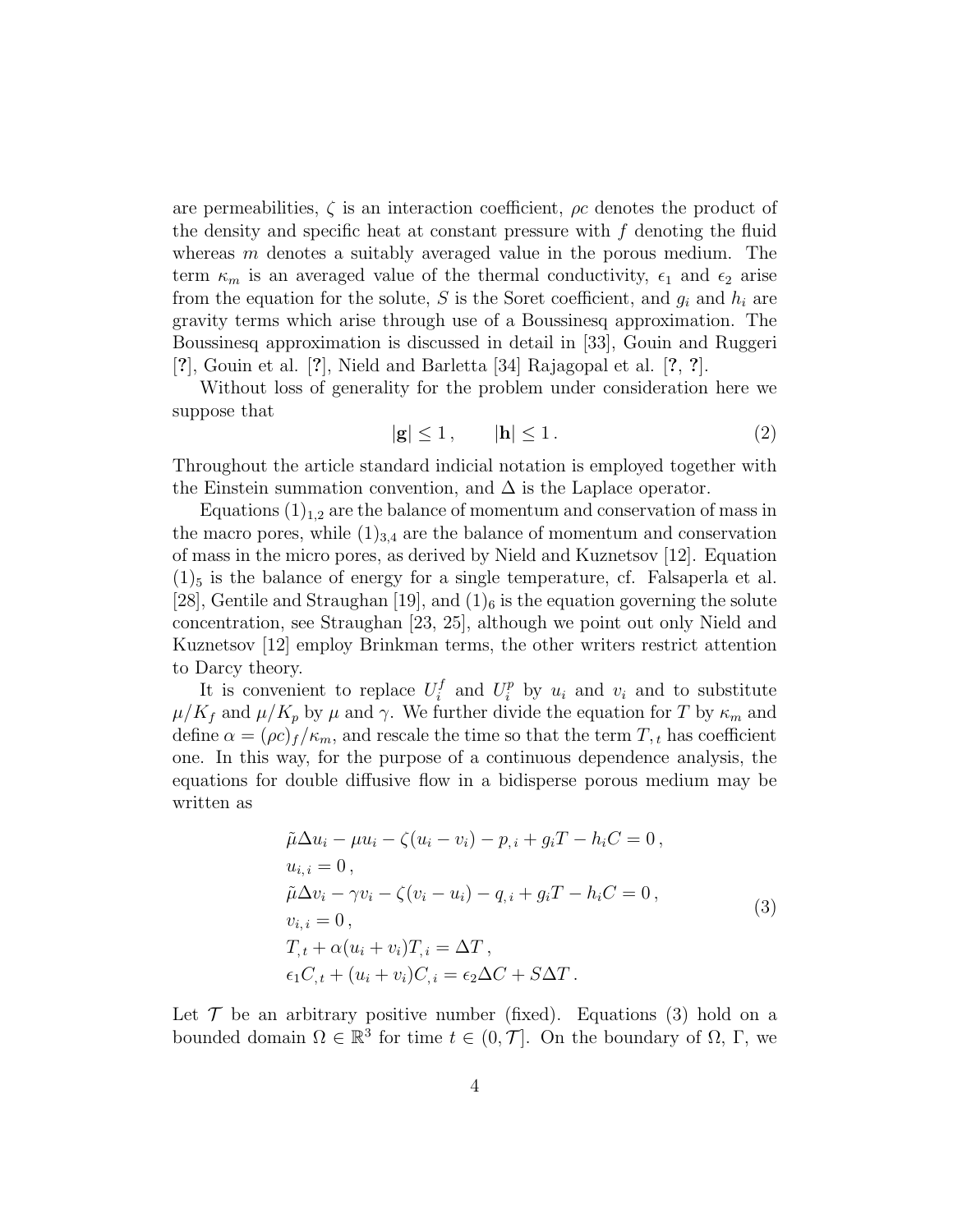are permeabilities,  $\zeta$  is an interaction coefficient,  $\rho c$  denotes the product of the density and specific heat at constant pressure with  $f$  denoting the fluid whereas  $m$  denotes a suitably averaged value in the porous medium. The term  $\kappa_m$  is an averaged value of the thermal conductivity,  $\epsilon_1$  and  $\epsilon_2$  arise from the equation for the solute, S is the Soret coefficient, and  $g_i$  and  $h_i$  are gravity terms which arise through use of a Boussinesq approximation. The Boussinesq approximation is discussed in detail in [33], Gouin and Ruggeri [?], Gouin et al. [?], Nield and Barletta [34] Rajagopal et al. [?, ?].

Without loss of generality for the problem under consideration here we suppose that

$$
|\mathbf{g}| \le 1, \qquad |\mathbf{h}| \le 1. \tag{2}
$$

Throughout the article standard indicial notation is employed together with the Einstein summation convention, and  $\Delta$  is the Laplace operator.

Equations  $(1)_{1,2}$  are the balance of momentum and conservation of mass in the macro pores, while  $(1)_{3,4}$  are the balance of momentum and conservation of mass in the micro pores, as derived by Nield and Kuznetsov [12]. Equation  $(1)_5$  is the balance of energy for a single temperature, cf. Falsaperla et al. [28], Gentile and Straughan [19], and  $(1)$ <sub>6</sub> is the equation governing the solute concentration, see Straughan [23, 25], although we point out only Nield and Kuznetsov [12] employ Brinkman terms, the other writers restrict attention to Darcy theory.

It is convenient to replace  $U_i^f$  $i_i^f$  and  $U_i^p$  by  $u_i$  and  $v_i$  and to substitute  $\mu/K_f$  and  $\mu/K_p$  by  $\mu$  and  $\gamma$ . We further divide the equation for T by  $\kappa_m$  and define  $\alpha = (\rho c)_f / \kappa_m$ , and rescale the time so that the term  $T, t$  has coefficient one. In this way, for the purpose of a continuous dependence analysis, the equations for double diffusive flow in a bidisperse porous medium may be written as

$$
\tilde{\mu}\Delta u_i - \mu u_i - \zeta (u_i - v_i) - p_{,i} + g_i T - h_i C = 0,
$$
  
\n
$$
u_{i,i} = 0,
$$
  
\n
$$
\tilde{\mu}\Delta v_i - \gamma v_i - \zeta (v_i - u_i) - q_{,i} + g_i T - h_i C = 0,
$$
  
\n
$$
v_{i,i} = 0,
$$
  
\n
$$
T_{,t} + \alpha (u_i + v_i) T_{,i} = \Delta T,
$$
  
\n
$$
\epsilon_1 C_{,t} + (u_i + v_i) C_{,i} = \epsilon_2 \Delta C + S \Delta T.
$$
\n(3)

Let  $\mathcal T$  be an arbitrary positive number (fixed). Equations (3) hold on a bounded domain  $\Omega \in \mathbb{R}^3$  for time  $t \in (0, \mathcal{T}]$ . On the boundary of  $\Omega$ ,  $\Gamma$ , we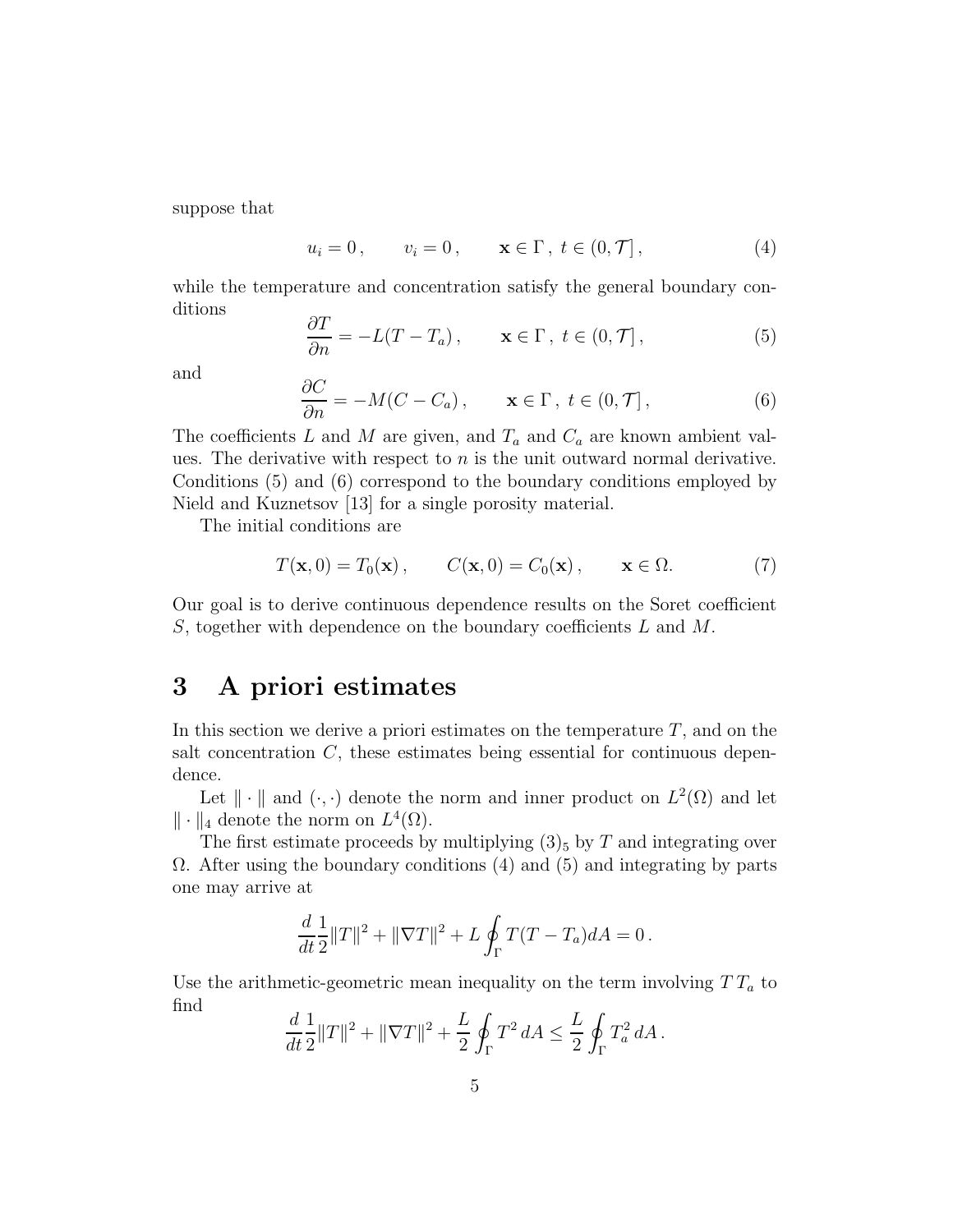suppose that

$$
u_i = 0, \qquad v_i = 0, \qquad \mathbf{x} \in \Gamma, \ t \in (0, \mathcal{T}], \tag{4}
$$

while the temperature and concentration satisfy the general boundary conditions

$$
\frac{\partial T}{\partial n} = -L(T - T_a), \qquad \mathbf{x} \in \Gamma, \ t \in (0, \mathcal{T}], \tag{5}
$$

and

$$
\frac{\partial C}{\partial n} = -M(C - C_a), \qquad \mathbf{x} \in \Gamma, \ t \in (0, \mathcal{T}], \tag{6}
$$

The coefficients L and M are given, and  $T_a$  and  $C_a$  are known ambient values. The derivative with respect to  $n$  is the unit outward normal derivative. Conditions (5) and (6) correspond to the boundary conditions employed by Nield and Kuznetsov [13] for a single porosity material.

The initial conditions are

$$
T(\mathbf{x},0) = T_0(\mathbf{x}), \qquad C(\mathbf{x},0) = C_0(\mathbf{x}), \qquad \mathbf{x} \in \Omega.
$$
 (7)

Our goal is to derive continuous dependence results on the Soret coefficient S, together with dependence on the boundary coefficients L and M.

# 3 A priori estimates

In this section we derive a priori estimates on the temperature  $T$ , and on the salt concentration  $C$ , these estimates being essential for continuous dependence.

Let  $\|\cdot\|$  and  $(\cdot, \cdot)$  denote the norm and inner product on  $L^2(\Omega)$  and let  $\|\cdot\|_4$  denote the norm on  $L^4(\Omega)$ .

The first estimate proceeds by multiplying  $(3)_5$  by T and integrating over  $\Omega$ . After using the boundary conditions (4) and (5) and integrating by parts one may arrive at

$$
\frac{d}{dt}\frac{1}{2}||T||^2 + ||\nabla T||^2 + L \oint_{\Gamma} T(T - T_a)dA = 0.
$$

Use the arithmetic-geometric mean inequality on the term involving  $TT_a$  to find

$$
\frac{d}{dt}\frac{1}{2}||T||^2 + ||\nabla T||^2 + \frac{L}{2}\oint_{\Gamma} T^2 dA \le \frac{L}{2}\oint_{\Gamma} T_a^2 dA.
$$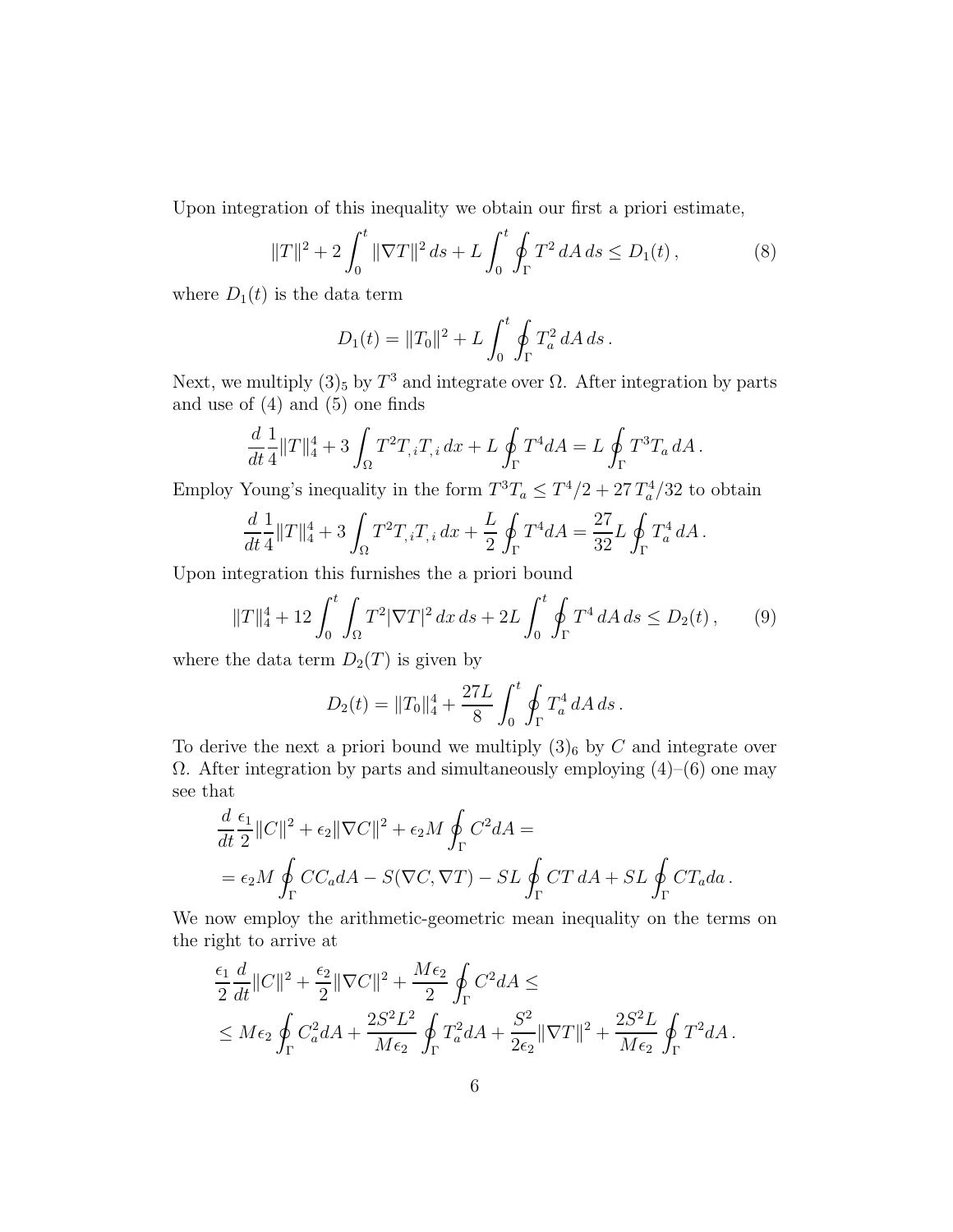Upon integration of this inequality we obtain our first a priori estimate,

$$
||T||^2 + 2\int_0^t ||\nabla T||^2 ds + L \int_0^t \oint_{\Gamma} T^2 dA ds \le D_1(t), \tag{8}
$$

where  $D_1(t)$  is the data term

$$
D_1(t) = ||T_0||^2 + L \int_0^t \oint_{\Gamma} T_a^2 dA ds.
$$

Next, we multiply  $(3)_5$  by  $T^3$  and integrate over  $\Omega$ . After integration by parts and use of (4) and (5) one finds

$$
\frac{d}{dt}\frac{1}{4}\|T\|_4^4+3\int_{\Omega}T^2T_{,i}T_{,i}\,dx+L\oint_{\Gamma}T^4dA=L\oint_{\Gamma}T^3T_a\,dA\,.
$$

Employ Young's inequality in the form  $T^3T_a \leq T^4/2 + 27T_a^4/32$  to obtain

$$
\frac{d}{dt}\frac{1}{4}\|T\|_4^4 + 3\int_{\Omega}T^2T_{,i}T_{,i}\,dx + \frac{L}{2}\oint_{\Gamma}T^4dA = \frac{27}{32}L\oint_{\Gamma}T_a^4\,dA\,.
$$

Upon integration this furnishes the a priori bound

$$
||T||_4^4 + 12\int_0^t \int_{\Omega} T^2 |\nabla T|^2 \, dx \, ds + 2L \int_0^t \oint_{\Gamma} T^4 \, dA \, ds \le D_2(t) \,,\tag{9}
$$

where the data term  $D_2(T)$  is given by

$$
D_2(t) = ||T_0||_4^4 + \frac{27L}{8} \int_0^t \oint_{\Gamma} T_a^4 dA ds.
$$

To derive the next a priori bound we multiply  $(3)_6$  by C and integrate over Ω. After integration by parts and simultaneously employing (4)–(6) one may see that

$$
\frac{d}{dt}\frac{\epsilon_1}{2}||C||^2 + \epsilon_2||\nabla C||^2 + \epsilon_2 M \oint_{\Gamma} C^2 dA =
$$
\n
$$
= \epsilon_2 M \oint_{\Gamma} CC_a dA - S(\nabla C, \nabla T) - SL \oint_{\Gamma} CT dA + SL \oint_{\Gamma} CT_a da.
$$

We now employ the arithmetic-geometric mean inequality on the terms on the right to arrive at

$$
\frac{\epsilon_1}{2}\frac{d}{dt}\|C\|^2 + \frac{\epsilon_2}{2}\|\nabla C\|^2 + \frac{M\epsilon_2}{2}\oint_{\Gamma} C^2 dA \le
$$
\n
$$
\leq M\epsilon_2 \oint_{\Gamma} C_a^2 dA + \frac{2S^2L^2}{M\epsilon_2} \oint_{\Gamma} T_a^2 dA + \frac{S^2}{2\epsilon_2} \|\nabla T\|^2 + \frac{2S^2L}{M\epsilon_2} \oint_{\Gamma} T^2 dA.
$$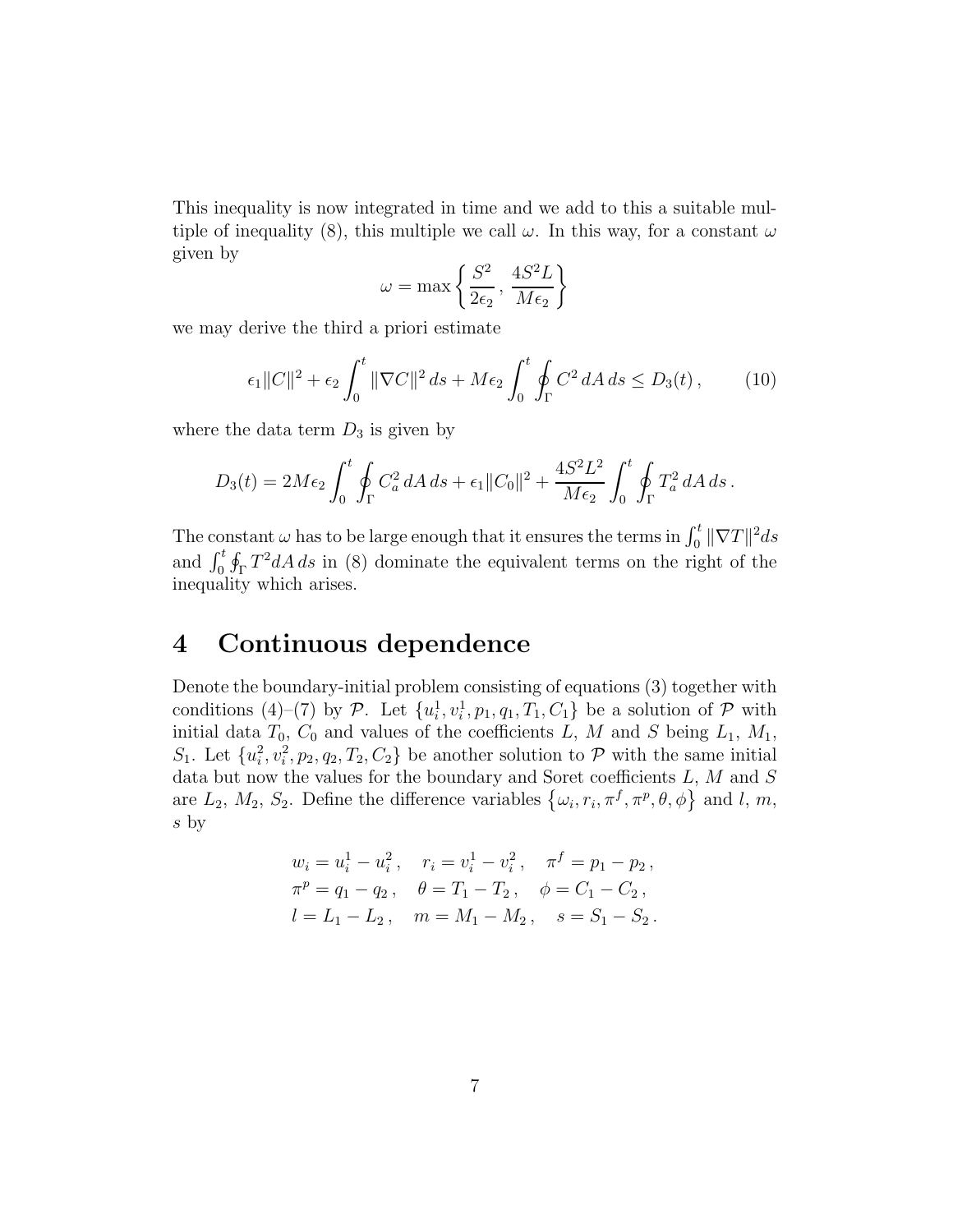This inequality is now integrated in time and we add to this a suitable multiple of inequality (8), this multiple we call  $\omega$ . In this way, for a constant  $\omega$ given by

$$
\omega = \max \left\{ \frac{S^2}{2\epsilon_2}, \, \frac{4S^2L}{M\epsilon_2} \right\}
$$

we may derive the third a priori estimate

$$
\epsilon_1 \|C\|^2 + \epsilon_2 \int_0^t \|\nabla C\|^2 \, ds + M\epsilon_2 \int_0^t \oint_{\Gamma} C^2 \, dA \, ds \le D_3(t) \,,\tag{10}
$$

where the data term  $D_3$  is given by

$$
D_3(t) = 2M\epsilon_2 \int_0^t \oint_{\Gamma} C_a^2 dA ds + \epsilon_1 ||C_0||^2 + \frac{4S^2L^2}{M\epsilon_2} \int_0^t \oint_{\Gamma} T_a^2 dA ds.
$$

The constant  $\omega$  has to be large enough that it ensures the terms in  $\int_0^t \|\nabla T\|^2 ds$ and  $\int_0^t \oint_{\Gamma} T^2 dA \, ds$  in (8) dominate the equivalent terms on the right of the inequality which arises.

# 4 Continuous dependence

Denote the boundary-initial problem consisting of equations (3) together with conditions (4)–(7) by  $\mathcal{P}$ . Let  $\{u_i^1\}$  $\{a_i^1, v_i^1, p_1, q_1, T_1, C_1\}$  be a solution of  $P$  with initial data  $T_0$ ,  $C_0$  and values of the coefficients L, M and S being  $L_1$ ,  $M_1$ ,  $S_1$ . Let  $\{u_i^2\}$  $\{a_i^2, v_i^2, p_2, q_2, T_2, C_2\}$  be another solution to  $P$  with the same initial data but now the values for the boundary and Soret coefficients  $L, M$  and  $S$ are  $L_2$ ,  $M_2$ ,  $S_2$ . Define the difference variables  $\{\omega_i, r_i, \pi^f, \pi^p, \theta, \phi\}$  and l, m, s by

$$
w_i = u_i^1 - u_i^2, \quad r_i = v_i^1 - v_i^2, \quad \pi^f = p_1 - p_2,
$$
  
\n
$$
\pi^p = q_1 - q_2, \quad \theta = T_1 - T_2, \quad \phi = C_1 - C_2,
$$
  
\n
$$
l = L_1 - L_2, \quad m = M_1 - M_2, \quad s = S_1 - S_2.
$$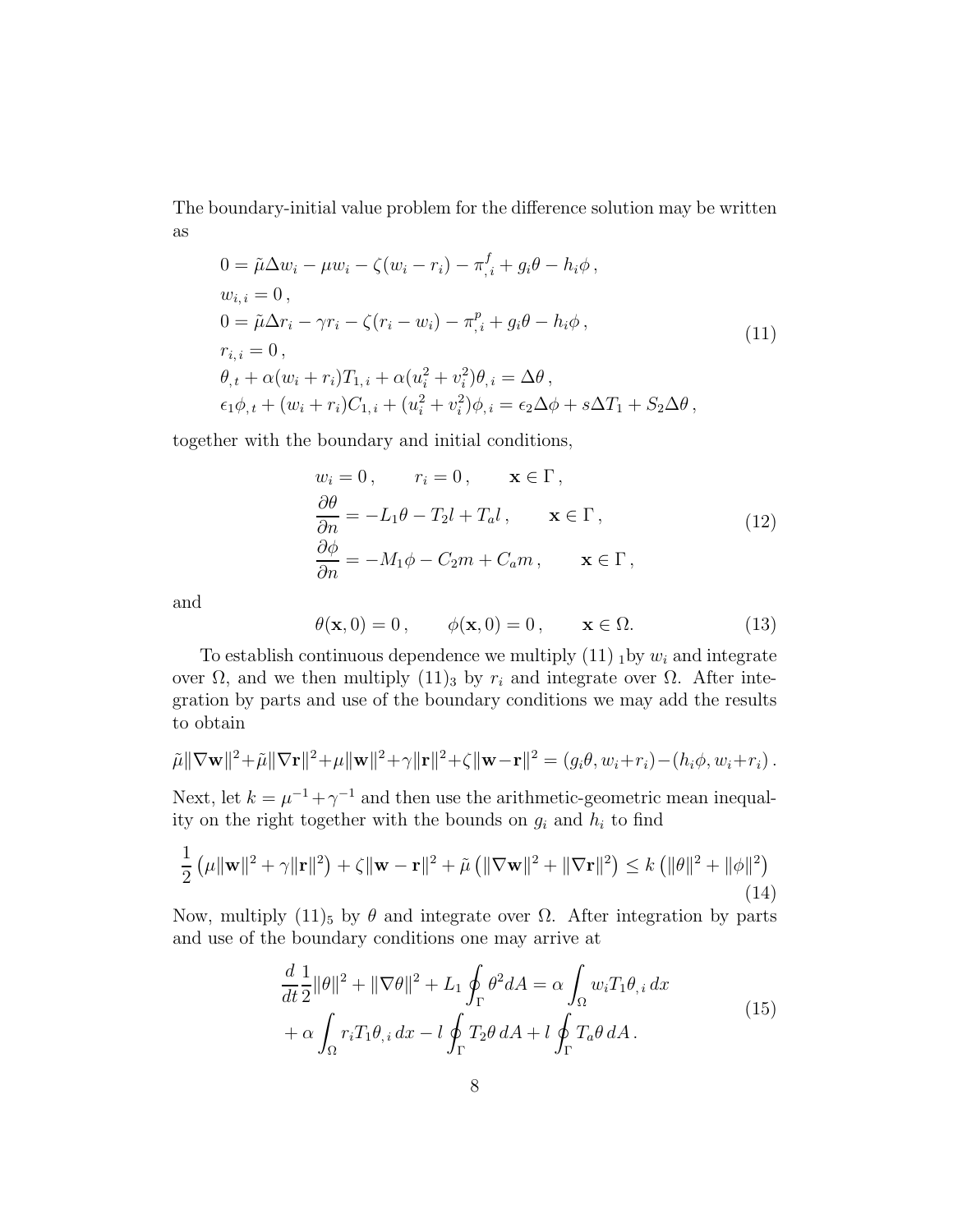The boundary-initial value problem for the difference solution may be written as

$$
0 = \tilde{\mu}\Delta w_i - \mu w_i - \zeta(w_i - r_i) - \pi_{,i}^f + g_i\theta - h_i\phi,
$$
  
\n
$$
w_{i,i} = 0,
$$
  
\n
$$
0 = \tilde{\mu}\Delta r_i - \gamma r_i - \zeta(r_i - w_i) - \pi_{,i}^p + g_i\theta - h_i\phi,
$$
  
\n
$$
r_{i,i} = 0,
$$
  
\n
$$
\theta_{,t} + \alpha(w_i + r_i)T_{1,i} + \alpha(u_i^2 + v_i^2)\theta_{,i} = \Delta\theta,
$$
  
\n
$$
\epsilon_1\phi_{,t} + (w_i + r_i)C_{1,i} + (u_i^2 + v_i^2)\phi_{,i} = \epsilon_2\Delta\phi + s\Delta T_1 + S_2\Delta\theta,
$$
\n(11)

together with the boundary and initial conditions,

$$
w_i = 0, \t r_i = 0, \t \mathbf{x} \in \Gamma,
$$
  
\n
$$
\frac{\partial \theta}{\partial n} = -L_1 \theta - T_2 l + T_a l, \t \mathbf{x} \in \Gamma,
$$
  
\n
$$
\frac{\partial \phi}{\partial n} = -M_1 \phi - C_2 m + C_a m, \t \mathbf{x} \in \Gamma,
$$
  
\n(12)

and

$$
\theta(\mathbf{x},0) = 0, \qquad \phi(\mathbf{x},0) = 0, \qquad \mathbf{x} \in \Omega. \tag{13}
$$

To establish continuous dependence we multiply  $(11)$  <sub>1</sub> by  $w_i$  and integrate over Ω, and we then multiply  $(11)_3$  by  $r_i$  and integrate over Ω. After integration by parts and use of the boundary conditions we may add the results to obtain

$$
\tilde{\mu} \|\nabla \mathbf{w}\|^2 + \tilde{\mu} \|\nabla \mathbf{r}\|^2 + \mu \|\mathbf{w}\|^2 + \gamma \|\mathbf{r}\|^2 + \zeta \|\mathbf{w} - \mathbf{r}\|^2 = (g_i \theta, w_i + r_i) - (h_i \phi, w_i + r_i).
$$

Next, let  $k = \mu^{-1} + \gamma^{-1}$  and then use the arithmetic-geometric mean inequality on the right together with the bounds on  $g_i$  and  $h_i$  to find

$$
\frac{1}{2} \left( \mu \|\mathbf{w}\|^2 + \gamma \|\mathbf{r}\|^2 \right) + \zeta \|\mathbf{w} - \mathbf{r}\|^2 + \tilde{\mu} \left( \|\nabla \mathbf{w}\|^2 + \|\nabla \mathbf{r}\|^2 \right) \le k \left( \|\theta\|^2 + \|\phi\|^2 \right)
$$
\n(14)

Now, multiply (11)<sub>5</sub> by θ and integrate over  $Ω$ . After integration by parts and use of the boundary conditions one may arrive at

$$
\frac{d}{dt}\frac{1}{2}\|\theta\|^2 + \|\nabla\theta\|^2 + L_1 \oint_{\Gamma} \theta^2 dA = \alpha \int_{\Omega} w_i T_1 \theta_{,i} dx \n+ \alpha \int_{\Omega} r_i T_1 \theta_{,i} dx - l \oint_{\Gamma} T_2 \theta dA + l \oint_{\Gamma} T_a \theta dA.
$$
\n(15)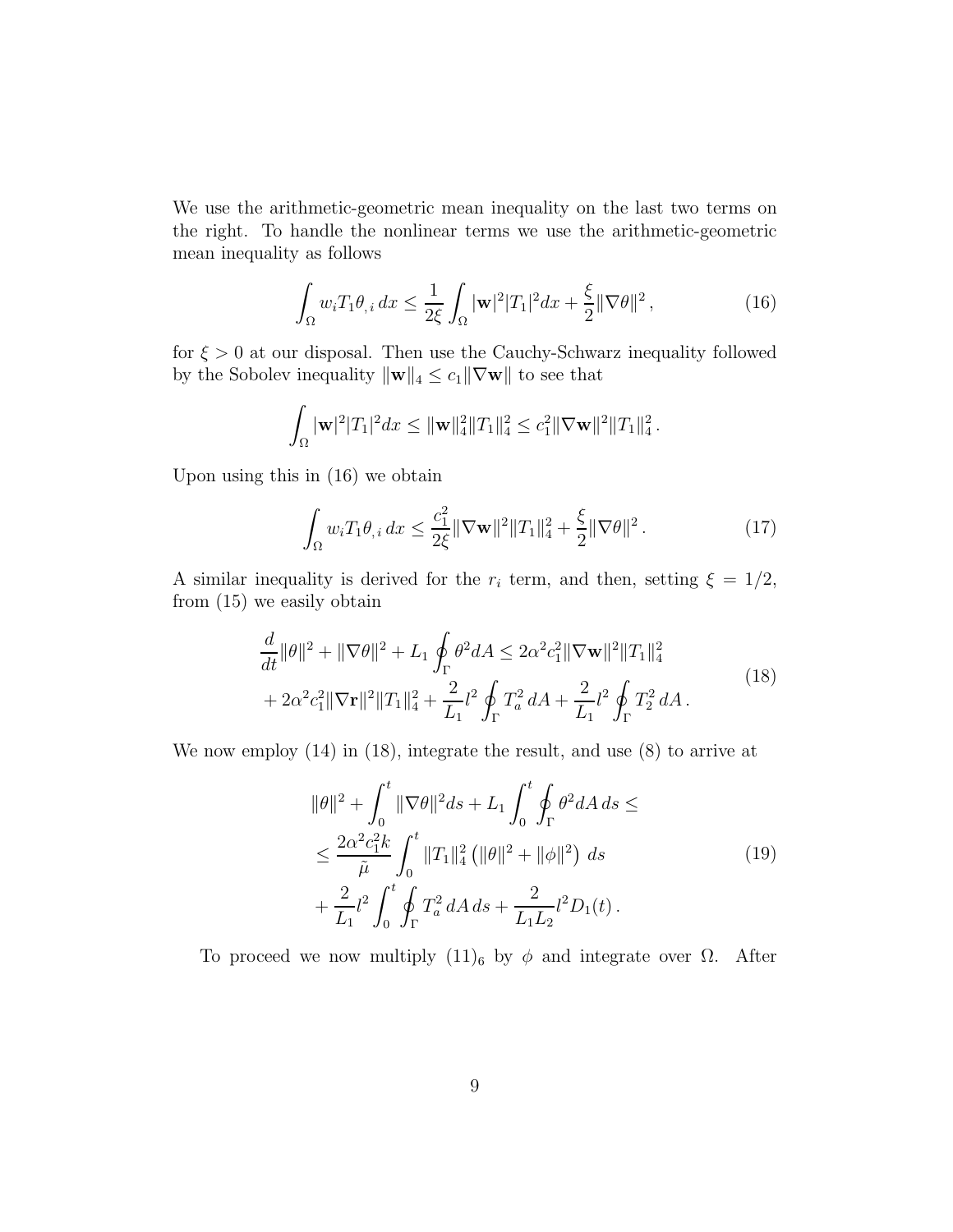We use the arithmetic-geometric mean inequality on the last two terms on the right. To handle the nonlinear terms we use the arithmetic-geometric mean inequality as follows

$$
\int_{\Omega} w_i T_1 \theta_{,i} dx \le \frac{1}{2\xi} \int_{\Omega} |\mathbf{w}|^2 |T_1|^2 dx + \frac{\xi}{2} ||\nabla \theta||^2,
$$
\n(16)

for  $\xi > 0$  at our disposal. Then use the Cauchy-Schwarz inequality followed by the Sobolev inequality  $\|\mathbf{w}\|_4 \leq c_1 \|\nabla \mathbf{w}\|$  to see that

$$
\int_{\Omega} |\mathbf{w}|^2 |T_1|^2 dx \leq \|\mathbf{w}\|_4^2 \|T_1\|_4^2 \leq c_1^2 \|\nabla \mathbf{w}\|^2 \|T_1\|_4^2.
$$

Upon using this in (16) we obtain

$$
\int_{\Omega} w_i T_1 \theta_{,i} \, dx \le \frac{c_1^2}{2\xi} \|\nabla \mathbf{w}\|^2 \|T_1\|_4^2 + \frac{\xi}{2} \|\nabla \theta\|^2. \tag{17}
$$

A similar inequality is derived for the  $r_i$  term, and then, setting  $\xi = 1/2$ , from (15) we easily obtain

$$
\frac{d}{dt} \|\theta\|^2 + \|\nabla\theta\|^2 + L_1 \oint_{\Gamma} \theta^2 dA \le 2\alpha^2 c_1^2 \|\nabla\mathbf{w}\|^2 \|T_1\|_4^2 \n+ 2\alpha^2 c_1^2 \|\nabla\mathbf{r}\|^2 \|T_1\|_4^2 + \frac{2}{L_1} l^2 \oint_{\Gamma} T_a^2 dA + \frac{2}{L_1} l^2 \oint_{\Gamma} T_2^2 dA.
$$
\n(18)

We now employ (14) in (18), integrate the result, and use (8) to arrive at

$$
\|\theta\|^2 + \int_0^t \|\nabla\theta\|^2 ds + L_1 \int_0^t \oint_\Gamma \theta^2 dA ds \le
$$
  

$$
\leq \frac{2\alpha^2 c_1^2 k}{\tilde{\mu}} \int_0^t \|T_1\|_4^2 \left(\|\theta\|^2 + \|\phi\|^2\right) ds
$$
  

$$
+ \frac{2}{L_1}l^2 \int_0^t \oint_\Gamma T_a^2 dA ds + \frac{2}{L_1 L_2}l^2 D_1(t).
$$
 (19)

To proceed we now multiply  $(11)_6$  by  $\phi$  and integrate over  $\Omega$ . After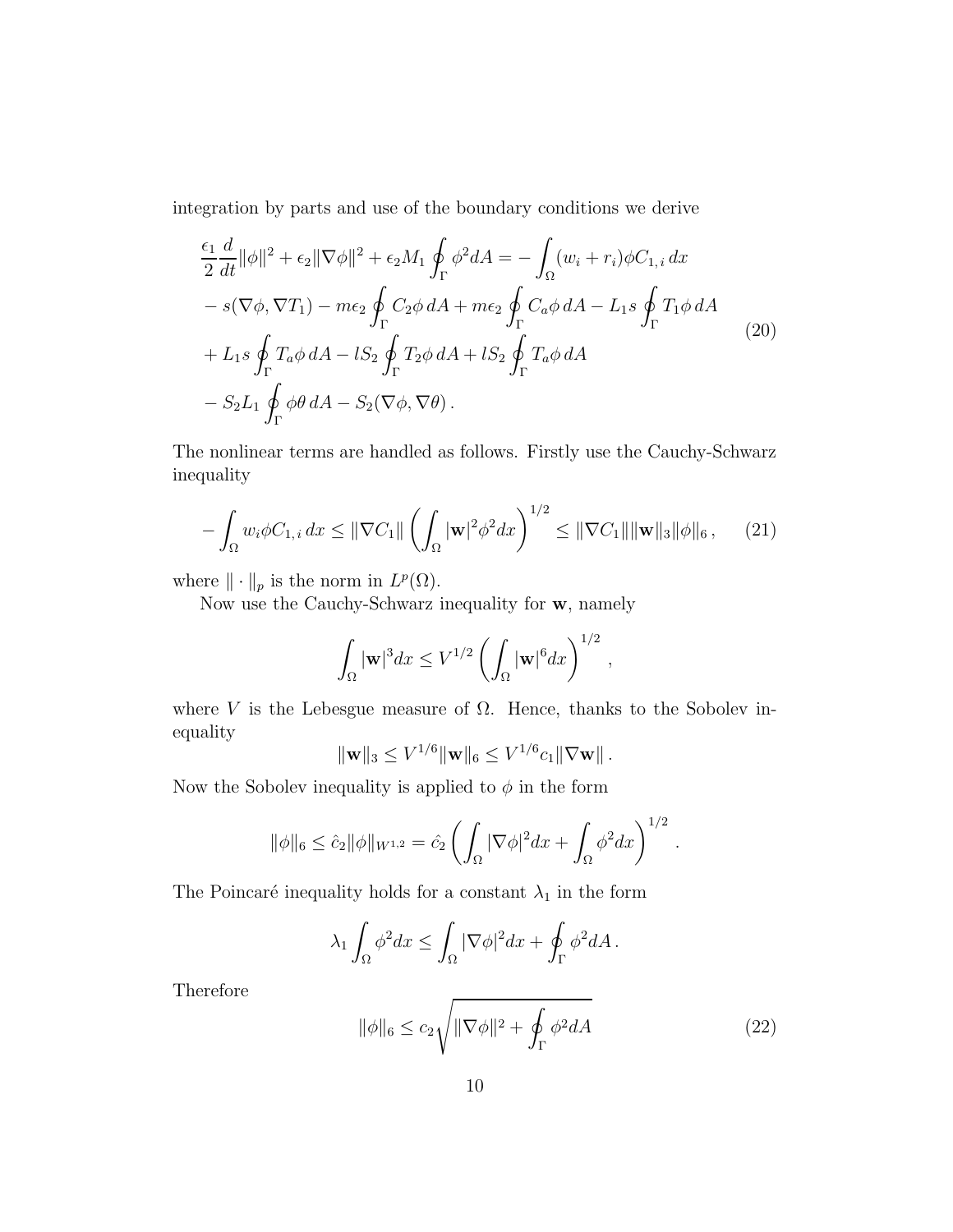integration by parts and use of the boundary conditions we derive

$$
\frac{\epsilon_1}{2} \frac{d}{dt} ||\phi||^2 + \epsilon_2 ||\nabla \phi||^2 + \epsilon_2 M_1 \oint_{\Gamma} \phi^2 dA = -\int_{\Omega} (w_i + r_i) \phi C_{1,i} dx
$$
  
\n
$$
- s(\nabla \phi, \nabla T_1) - m\epsilon_2 \oint_{\Gamma} C_2 \phi dA + m\epsilon_2 \oint_{\Gamma} C_a \phi dA - L_1 s \oint_{\Gamma} T_1 \phi dA
$$
  
\n
$$
+ L_1 s \oint_{\Gamma} T_a \phi dA - lS_2 \oint_{\Gamma} T_2 \phi dA + lS_2 \oint_{\Gamma} T_a \phi dA
$$
  
\n
$$
- S_2 L_1 \oint_{\Gamma} \phi \theta dA - S_2(\nabla \phi, \nabla \theta).
$$
\n(20)

The nonlinear terms are handled as follows. Firstly use the Cauchy-Schwarz inequality

$$
-\int_{\Omega} w_i \phi C_{1,i} dx \le ||\nabla C_1|| \left(\int_{\Omega} |\mathbf{w}|^2 \phi^2 dx\right)^{1/2} \le ||\nabla C_1|| \|\mathbf{w}\|_3 \|\phi\|_6 ,\qquad(21)
$$

where  $\|\cdot\|_p$  is the norm in  $L^p(\Omega)$ .

Now use the Cauchy-Schwarz inequality for w, namely

$$
\int_{\Omega} |\mathbf{w}|^3 dx \le V^{1/2} \left( \int_{\Omega} |\mathbf{w}|^6 dx \right)^{1/2},
$$

where V is the Lebesgue measure of  $\Omega$ . Hence, thanks to the Sobolev inequality

$$
\|\mathbf{w}\|_3 \leq V^{1/6} \|\mathbf{w}\|_6 \leq V^{1/6} c_1 \|\nabla \mathbf{w}\|.
$$

Now the Sobolev inequality is applied to  $\phi$  in the form

$$
\|\phi\|_6 \leq \hat{c}_2 \|\phi\|_{W^{1,2}} = \hat{c}_2 \left( \int_{\Omega} |\nabla \phi|^2 dx + \int_{\Omega} \phi^2 dx \right)^{1/2}
$$

The Poincaré inequality holds for a constant  $\lambda_1$  in the form

$$
\lambda_1 \int_{\Omega} \phi^2 dx \le \int_{\Omega} |\nabla \phi|^2 dx + \oint_{\Gamma} \phi^2 dA.
$$

Therefore

$$
\|\phi\|_6 \le c_2 \sqrt{\|\nabla \phi\|^2 + \oint_{\Gamma} \phi^2 dA} \tag{22}
$$

.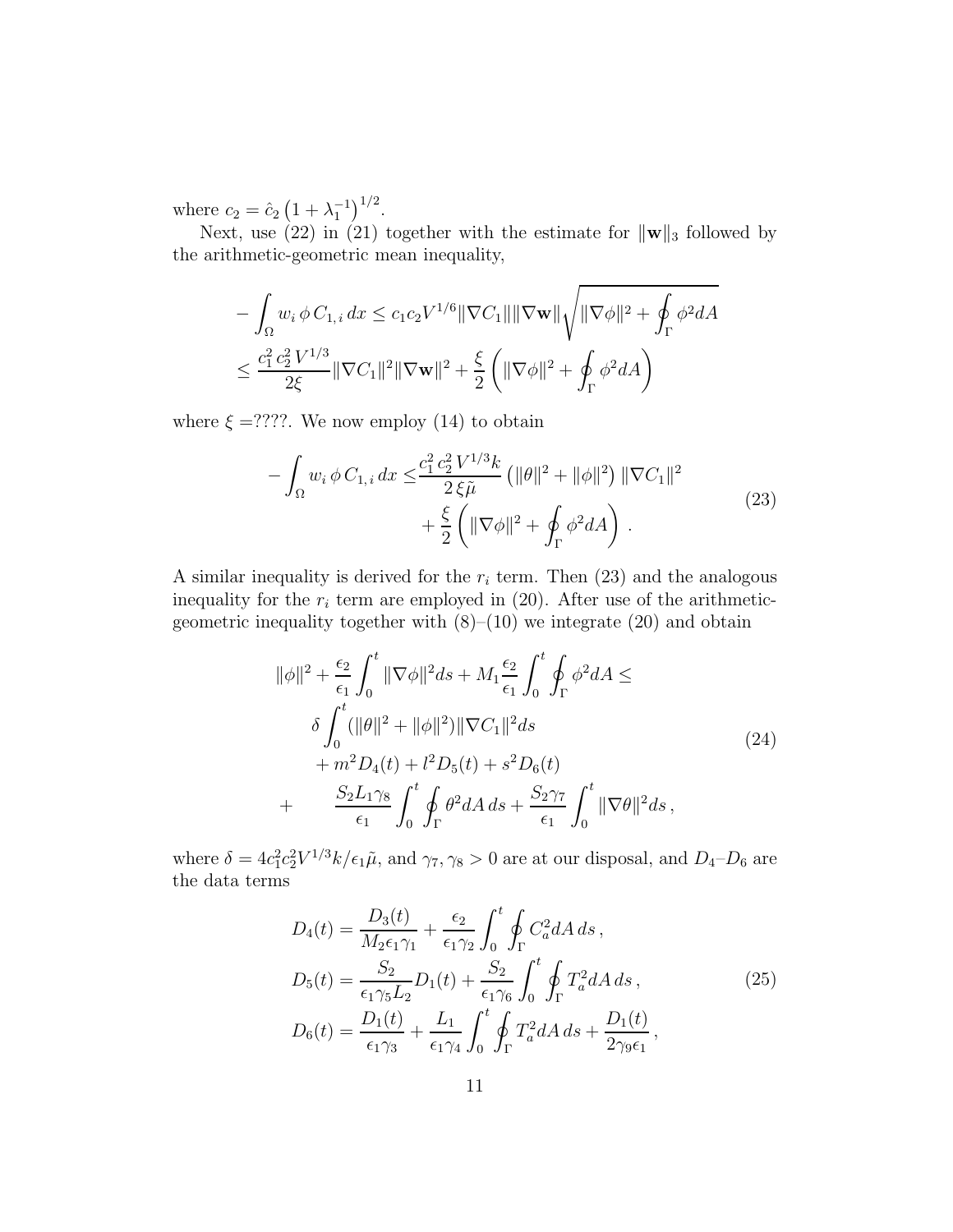where  $c_2 = \hat{c}_2 (1 + \lambda_1^{-1})^{1/2}$ .

Next, use (22) in (21) together with the estimate for  $\|\mathbf{w}\|_3$  followed by the arithmetic-geometric mean inequality,

$$
- \int_{\Omega} w_i \, \phi \, C_{1,i} \, dx \leq c_1 c_2 V^{1/6} \|\nabla C_1\| \|\nabla \mathbf{w}\| \sqrt{\|\nabla \phi\|^2 + \oint_{\Gamma} \phi^2 dA}
$$
  

$$
\leq \frac{c_1^2 c_2^2 V^{1/3}}{2\xi} \|\nabla C_1\|^2 \|\nabla \mathbf{w}\|^2 + \frac{\xi}{2} \left( \|\nabla \phi\|^2 + \oint_{\Gamma} \phi^2 dA \right)
$$

where  $\xi = ????$ . We now employ (14) to obtain

$$
-\int_{\Omega} w_i \, \phi \, C_{1,i} \, dx \leq \frac{c_1^2 \, c_2^2 \, V^{1/3} k}{2 \, \xi \tilde{\mu}} \left( \|\theta\|^2 + \|\phi\|^2 \right) \|\nabla C_1\|^2 + \frac{\xi}{2} \left( \|\nabla \phi\|^2 + \oint_{\Gamma} \phi^2 dA \right) . \tag{23}
$$

A similar inequality is derived for the  $r_i$  term. Then (23) and the analogous inequality for the  $r_i$  term are employed in (20). After use of the arithmeticgeometric inequality together with  $(8)$ – $(10)$  we integrate  $(20)$  and obtain

$$
\|\phi\|^{2} + \frac{\epsilon_{2}}{\epsilon_{1}} \int_{0}^{t} \|\nabla\phi\|^{2} ds + M_{1} \frac{\epsilon_{2}}{\epsilon_{1}} \int_{0}^{t} \oint_{\Gamma} \phi^{2} dA \le
$$
  
\n
$$
\delta \int_{0}^{t} (\|\theta\|^{2} + \|\phi\|^{2}) \|\nabla C_{1}\|^{2} ds + m^{2} D_{4}(t) + l^{2} D_{5}(t) + s^{2} D_{6}(t) + \frac{S_{2} L_{1} \gamma_{8}}{\epsilon_{1}} \int_{0}^{t} \oint_{\Gamma} \theta^{2} dA ds + \frac{S_{2} \gamma_{7}}{\epsilon_{1}} \int_{0}^{t} \|\nabla\theta\|^{2} ds,
$$
\n(24)

where  $\delta = 4c_1^2c_2^2V^{1/3}k/\epsilon_1\tilde{\mu}$ , and  $\gamma_7, \gamma_8 > 0$  are at our disposal, and  $D_4$ - $D_6$  are the data terms

$$
D_4(t) = \frac{D_3(t)}{M_2 \epsilon_1 \gamma_1} + \frac{\epsilon_2}{\epsilon_1 \gamma_2} \int_0^t \oint_{\Gamma} C_a^2 dA \, ds \,,
$$
  
\n
$$
D_5(t) = \frac{S_2}{\epsilon_1 \gamma_5 L_2} D_1(t) + \frac{S_2}{\epsilon_1 \gamma_6} \int_0^t \oint_{\Gamma} T_a^2 dA \, ds \,,
$$
  
\n
$$
D_6(t) = \frac{D_1(t)}{\epsilon_1 \gamma_3} + \frac{L_1}{\epsilon_1 \gamma_4} \int_0^t \oint_{\Gamma} T_a^2 dA \, ds + \frac{D_1(t)}{2 \gamma_9 \epsilon_1} \,,
$$
\n(25)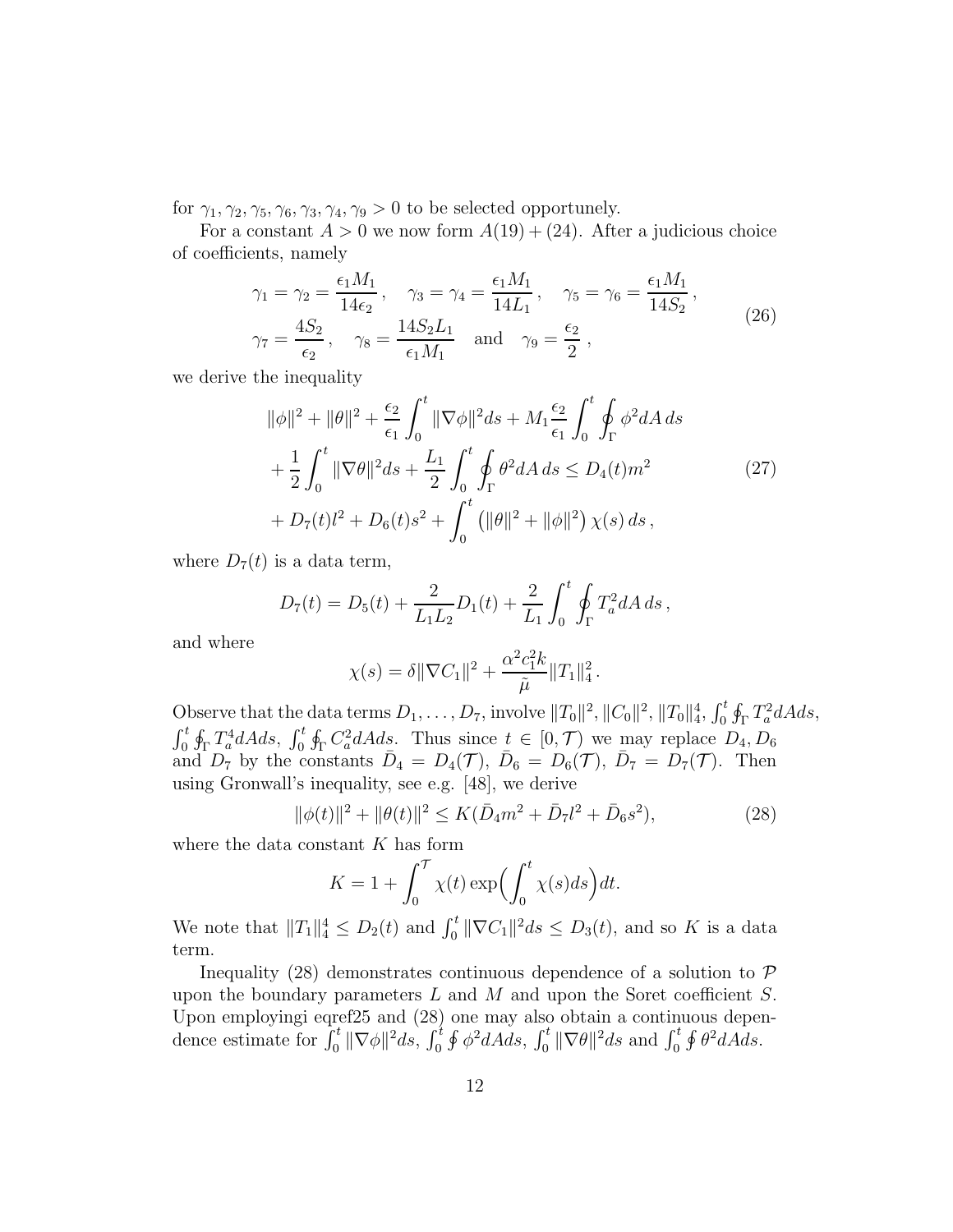for  $\gamma_1, \gamma_2, \gamma_5, \gamma_6, \gamma_3, \gamma_4, \gamma_9 > 0$  to be selected opportunely.

For a constant  $A > 0$  we now form  $A(19) + (24)$ . After a judicious choice of coefficients, namely

$$
\gamma_1 = \gamma_2 = \frac{\epsilon_1 M_1}{14 \epsilon_2}, \quad \gamma_3 = \gamma_4 = \frac{\epsilon_1 M_1}{14 L_1}, \quad \gamma_5 = \gamma_6 = \frac{\epsilon_1 M_1}{14 S_2}, \n\gamma_7 = \frac{4 S_2}{\epsilon_2}, \quad \gamma_8 = \frac{14 S_2 L_1}{\epsilon_1 M_1} \quad \text{and} \quad \gamma_9 = \frac{\epsilon_2}{2},
$$
\n(26)

we derive the inequality

$$
\|\phi\|^{2} + \|\theta\|^{2} + \frac{\epsilon_{2}}{\epsilon_{1}} \int_{0}^{t} \|\nabla\phi\|^{2} ds + M_{1} \frac{\epsilon_{2}}{\epsilon_{1}} \int_{0}^{t} \oint_{\Gamma} \phi^{2} dA ds
$$
  
+ 
$$
\frac{1}{2} \int_{0}^{t} \|\nabla\theta\|^{2} ds + \frac{L_{1}}{2} \int_{0}^{t} \oint_{\Gamma} \theta^{2} dA ds \le D_{4}(t) m^{2}
$$
  
+ 
$$
D_{7}(t)l^{2} + D_{6}(t)s^{2} + \int_{0}^{t} \left(\|\theta\|^{2} + \|\phi\|^{2}\right) \chi(s) ds,
$$
 (27)

where  $D_7(t)$  is a data term,

$$
D_7(t) = D_5(t) + \frac{2}{L_1 L_2} D_1(t) + \frac{2}{L_1} \int_0^t \oint_{\Gamma} T_a^2 dA \, ds \,,
$$

and where

$$
\chi(s) = \delta \|\nabla C_1\|^2 + \frac{\alpha^2 c_1^2 k}{\tilde{\mu}} \|T_1\|_4^2.
$$

Observe that the data terms  $D_1, \ldots, D_7$ , involve  $||T_0||^2$ ,  $||C_0||^2$ ,  $||T_0||_4^4$ ,  $\int_0^t \oint_{\Gamma} T_a^2 dA ds$ ,  $\int_0^t \oint_{\Gamma} T_a^4 dA ds$ ,  $\int_0^t \oint_{\Gamma} C_a^2 dA ds$ . Thus since  $t \in [0, \mathcal{T})$  we may replace  $D_4, D_6$ and  $D_7$  by the constants  $\bar{D}_4 = D_4(\mathcal{T}), \ \bar{D}_6 = D_6(\mathcal{T}), \ \bar{D}_7 = D_7(\mathcal{T}).$  Then using Gronwall's inequality, see e.g. [48], we derive

$$
\|\phi(t)\|^2 + \|\theta(t)\|^2 \le K(\bar{D}_4 m^2 + \bar{D}_7 l^2 + \bar{D}_6 s^2),\tag{28}
$$

where the data constant  $K$  has form

$$
K = 1 + \int_0^T \chi(t) \exp\left(\int_0^t \chi(s)ds\right) dt.
$$

We note that  $||T_1||_4^4 \le D_2(t)$  and  $\int_0^t ||\nabla C_1||^2 ds \le D_3(t)$ , and so K is a data term.

Inequality (28) demonstrates continuous dependence of a solution to  $\mathcal P$ upon the boundary parameters  $L$  and  $M$  and upon the Soret coefficient  $S$ . Upon employingi eqref25 and (28) one may also obtain a continuous dependence estimate for  $\int_0^t \|\nabla \phi\|^2 ds$ ,  $\int_0^t \oint \phi^2 dA ds$ ,  $\int_0^t \|\nabla \theta\|^2 ds$  and  $\int_0^t \oint \theta^2 dA ds$ .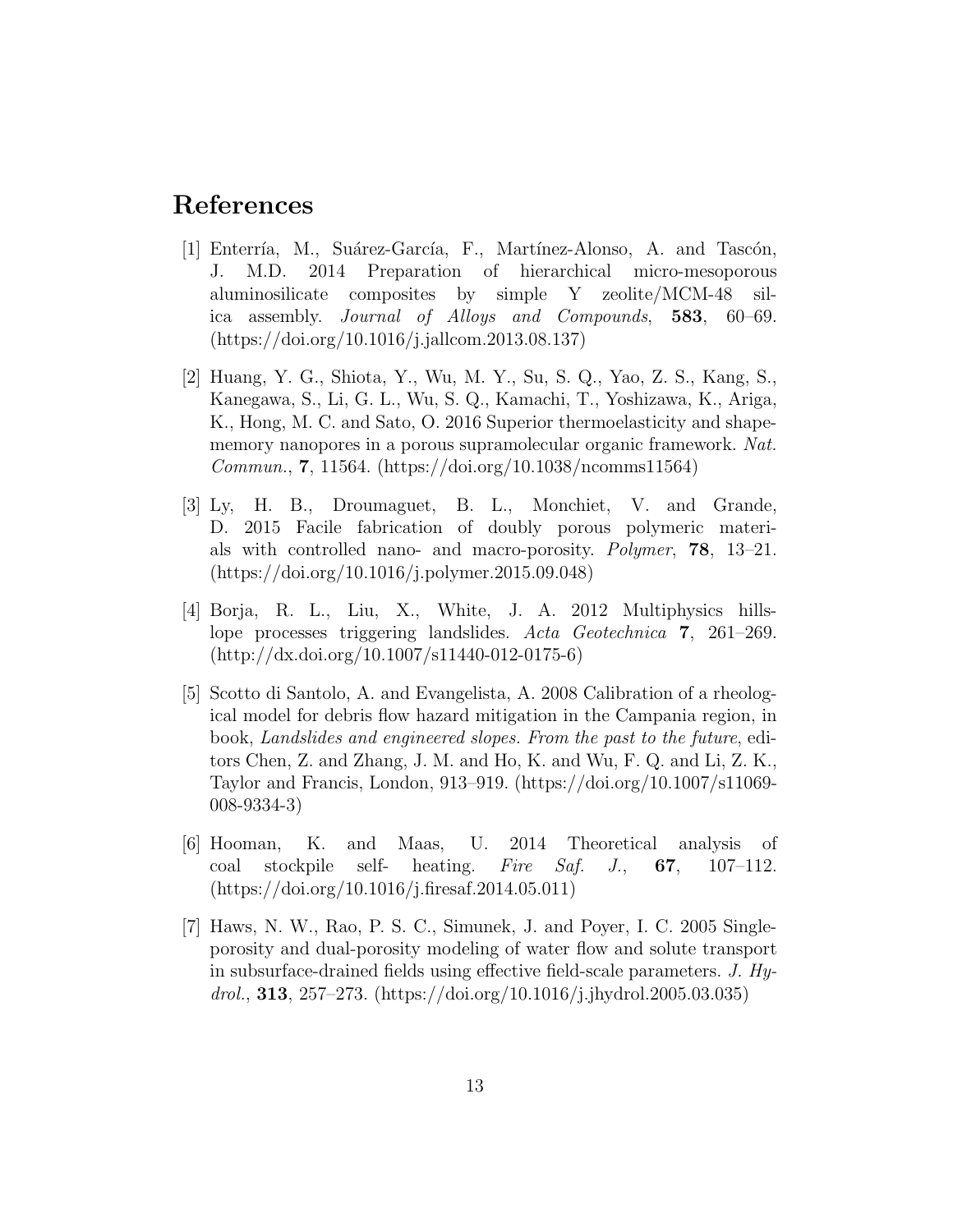# References

- [1] Enterría, M., Suárez-García, F., Martínez-Alonso, A. and Tascón, J. M.D. 2014 Preparation of hierarchical micro-mesoporous aluminosilicate composites by simple Y zeolite/MCM-48 silica assembly. Journal of Alloys and Compounds, 583, 60–69. (https://doi.org/10.1016/j.jallcom.2013.08.137)
- [2] Huang, Y. G., Shiota, Y., Wu, M. Y., Su, S. Q., Yao, Z. S., Kang, S., Kanegawa, S., Li, G. L., Wu, S. Q., Kamachi, T., Yoshizawa, K., Ariga, K., Hong, M. C. and Sato, O. 2016 Superior thermoelasticity and shapememory nanopores in a porous supramolecular organic framework. Nat. Commun., 7, 11564. (https://doi.org/10.1038/ncomms11564)
- [3] Ly, H. B., Droumaguet, B. L., Monchiet, V. and Grande, D. 2015 Facile fabrication of doubly porous polymeric materials with controlled nano- and macro-porosity. Polymer, 78, 13–21. (https://doi.org/10.1016/j.polymer.2015.09.048)
- [4] Borja, R. L., Liu, X., White, J. A. 2012 Multiphysics hillslope processes triggering landslides. Acta Geotechnica 7, 261–269. (http://dx.doi.org/10.1007/s11440-012-0175-6)
- [5] Scotto di Santolo, A. and Evangelista, A. 2008 Calibration of a rheological model for debris flow hazard mitigation in the Campania region, in book, Landslides and engineered slopes. From the past to the future, editors Chen, Z. and Zhang, J. M. and Ho, K. and Wu, F. Q. and Li, Z. K., Taylor and Francis, London, 913–919. (https://doi.org/10.1007/s11069- 008-9334-3)
- [6] Hooman, K. and Maas, U. 2014 Theoretical analysis of coal stockpile self- heating. Fire Saf. J., 67, 107–112. (https://doi.org/10.1016/j.firesaf.2014.05.011)
- [7] Haws, N. W., Rao, P. S. C., Simunek, J. and Poyer, I. C. 2005 Singleporosity and dual-porosity modeling of water flow and solute transport in subsurface-drained fields using effective field-scale parameters.  $J. H_y$ drol., **313**, 257–273. (https://doi.org/10.1016/j.jhydrol.2005.03.035)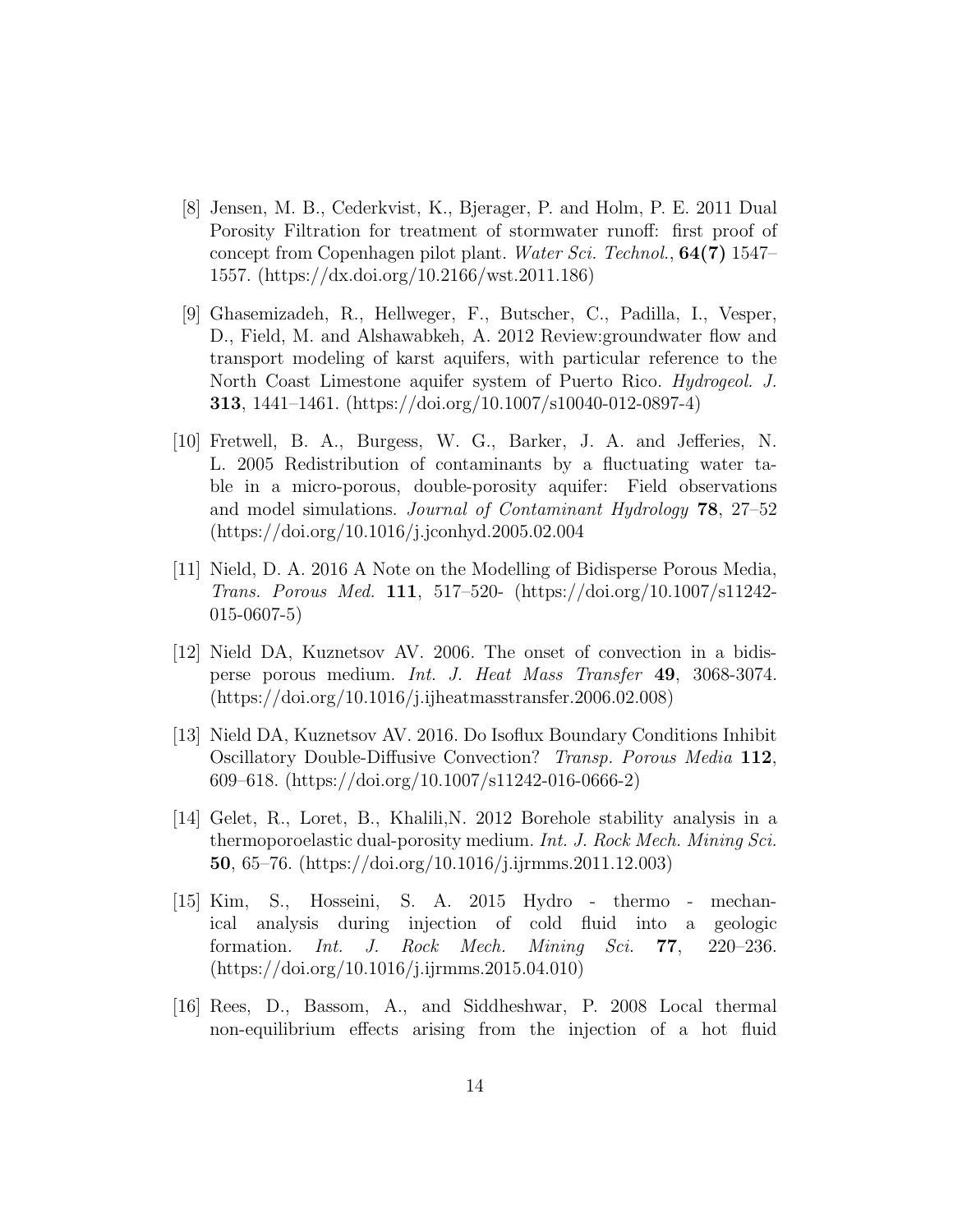- [8] Jensen, M. B., Cederkvist, K., Bjerager, P. and Holm, P. E. 2011 Dual Porosity Filtration for treatment of stormwater runoff: first proof of concept from Copenhagen pilot plant. Water Sci. Technol., **64(7)** 1547– 1557. (https://dx.doi.org/10.2166/wst.2011.186)
- [9] Ghasemizadeh, R., Hellweger, F., Butscher, C., Padilla, I., Vesper, D., Field, M. and Alshawabkeh, A. 2012 Review:groundwater flow and transport modeling of karst aquifers, with particular reference to the North Coast Limestone aquifer system of Puerto Rico. Hydrogeol. J. 313, 1441–1461. (https://doi.org/10.1007/s10040-012-0897-4)
- [10] Fretwell, B. A., Burgess, W. G., Barker, J. A. and Jefferies, N. L. 2005 Redistribution of contaminants by a fluctuating water table in a micro-porous, double-porosity aquifer: Field observations and model simulations. Journal of Contaminant Hydrology 78, 27–52 (https://doi.org/10.1016/j.jconhyd.2005.02.004
- [11] Nield, D. A. 2016 A Note on the Modelling of Bidisperse Porous Media, Trans. Porous Med. 111, 517–520- (https://doi.org/10.1007/s11242- 015-0607-5)
- [12] Nield DA, Kuznetsov AV. 2006. The onset of convection in a bidisperse porous medium. Int. J. Heat Mass Transfer 49, 3068-3074. (https://doi.org/10.1016/j.ijheatmasstransfer.2006.02.008)
- [13] Nield DA, Kuznetsov AV. 2016. Do Isoflux Boundary Conditions Inhibit Oscillatory Double-Diffusive Convection? Transp. Porous Media 112, 609–618. (https://doi.org/10.1007/s11242-016-0666-2)
- [14] Gelet, R., Loret, B., Khalili,N. 2012 Borehole stability analysis in a thermoporoelastic dual-porosity medium. Int. J. Rock Mech. Mining Sci. 50, 65–76. (https://doi.org/10.1016/j.ijrmms.2011.12.003)
- [15] Kim, S., Hosseini, S. A. 2015 Hydro thermo mechanical analysis during injection of cold fluid into a geologic formation. Int. J. Rock Mech. Mining Sci. 77, 220–236. (https://doi.org/10.1016/j.ijrmms.2015.04.010)
- [16] Rees, D., Bassom, A., and Siddheshwar, P. 2008 Local thermal non-equilibrium effects arising from the injection of a hot fluid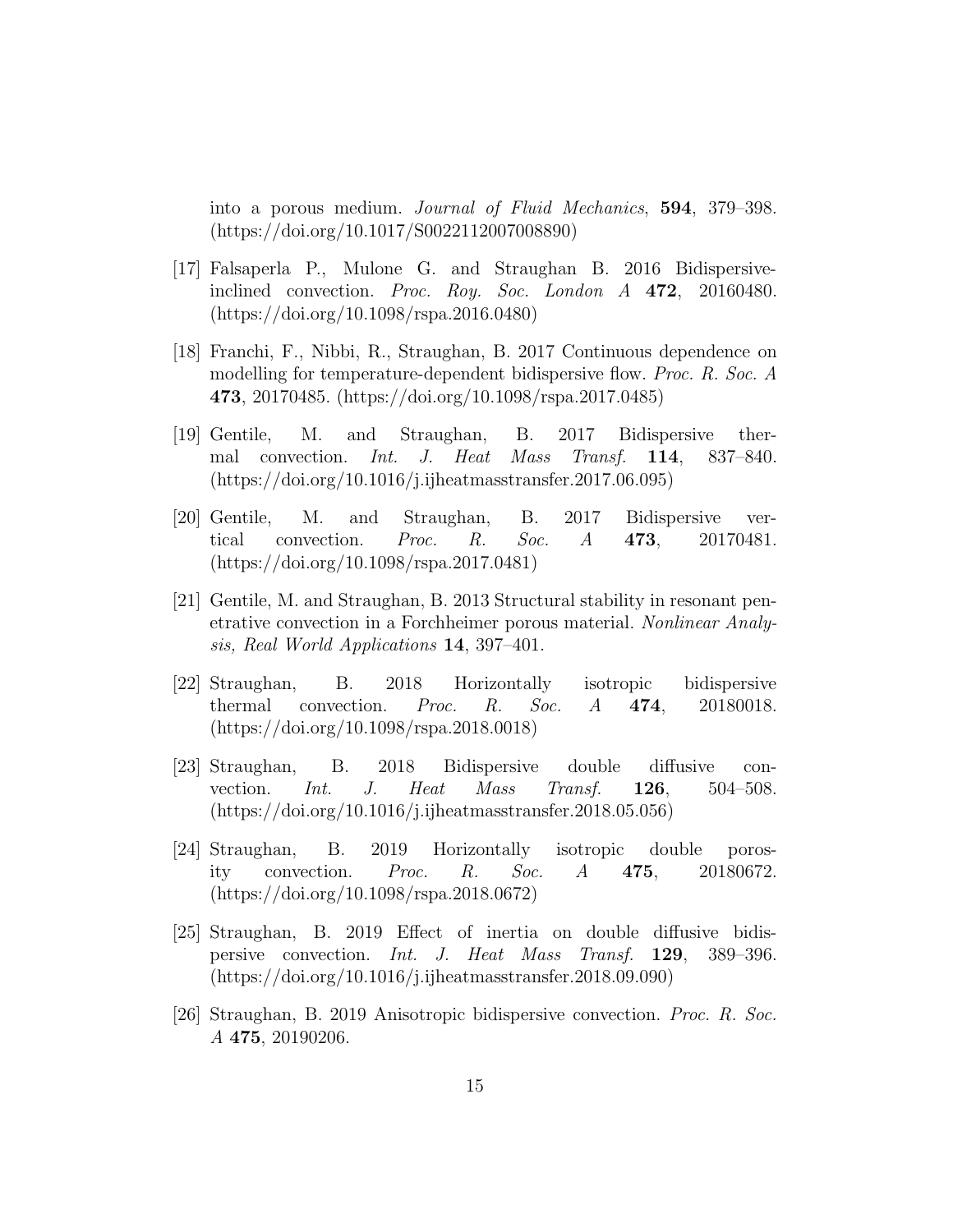into a porous medium. Journal of Fluid Mechanics, 594, 379–398. (https://doi.org/10.1017/S0022112007008890)

- [17] Falsaperla P., Mulone G. and Straughan B. 2016 Bidispersiveinclined convection. Proc. Roy. Soc. London A 472, 20160480. (https://doi.org/10.1098/rspa.2016.0480)
- [18] Franchi, F., Nibbi, R., Straughan, B. 2017 Continuous dependence on modelling for temperature-dependent bidispersive flow. Proc. R. Soc. A 473, 20170485. (https://doi.org/10.1098/rspa.2017.0485)
- [19] Gentile, M. and Straughan, B. 2017 Bidispersive thermal convection. Int. J. Heat Mass Transf. 114, 837–840. (https://doi.org/10.1016/j.ijheatmasstransfer.2017.06.095)
- [20] Gentile, M. and Straughan, B. 2017 Bidispersive vertical convection. Proc. R. Soc. A 473, 20170481. (https://doi.org/10.1098/rspa.2017.0481)
- [21] Gentile, M. and Straughan, B. 2013 Structural stability in resonant penetrative convection in a Forchheimer porous material. Nonlinear Analysis, Real World Applications 14, 397–401.
- [22] Straughan, B. 2018 Horizontally isotropic bidispersive thermal convection. *Proc. R. Soc. A*  $474$ , 20180018. (https://doi.org/10.1098/rspa.2018.0018)
- [23] Straughan, B. 2018 Bidispersive double diffusive convection. Int. J. Heat Mass Transf. 126, 504–508. (https://doi.org/10.1016/j.ijheatmasstransfer.2018.05.056)
- [24] Straughan, B. 2019 Horizontally isotropic double porosity convection. Proc. R. Soc. A 475, 20180672. (https://doi.org/10.1098/rspa.2018.0672)
- [25] Straughan, B. 2019 Effect of inertia on double diffusive bidispersive convection. Int. J. Heat Mass Transf. 129, 389–396. (https://doi.org/10.1016/j.ijheatmasstransfer.2018.09.090)
- [26] Straughan, B. 2019 Anisotropic bidispersive convection. Proc. R. Soc. A 475, 20190206.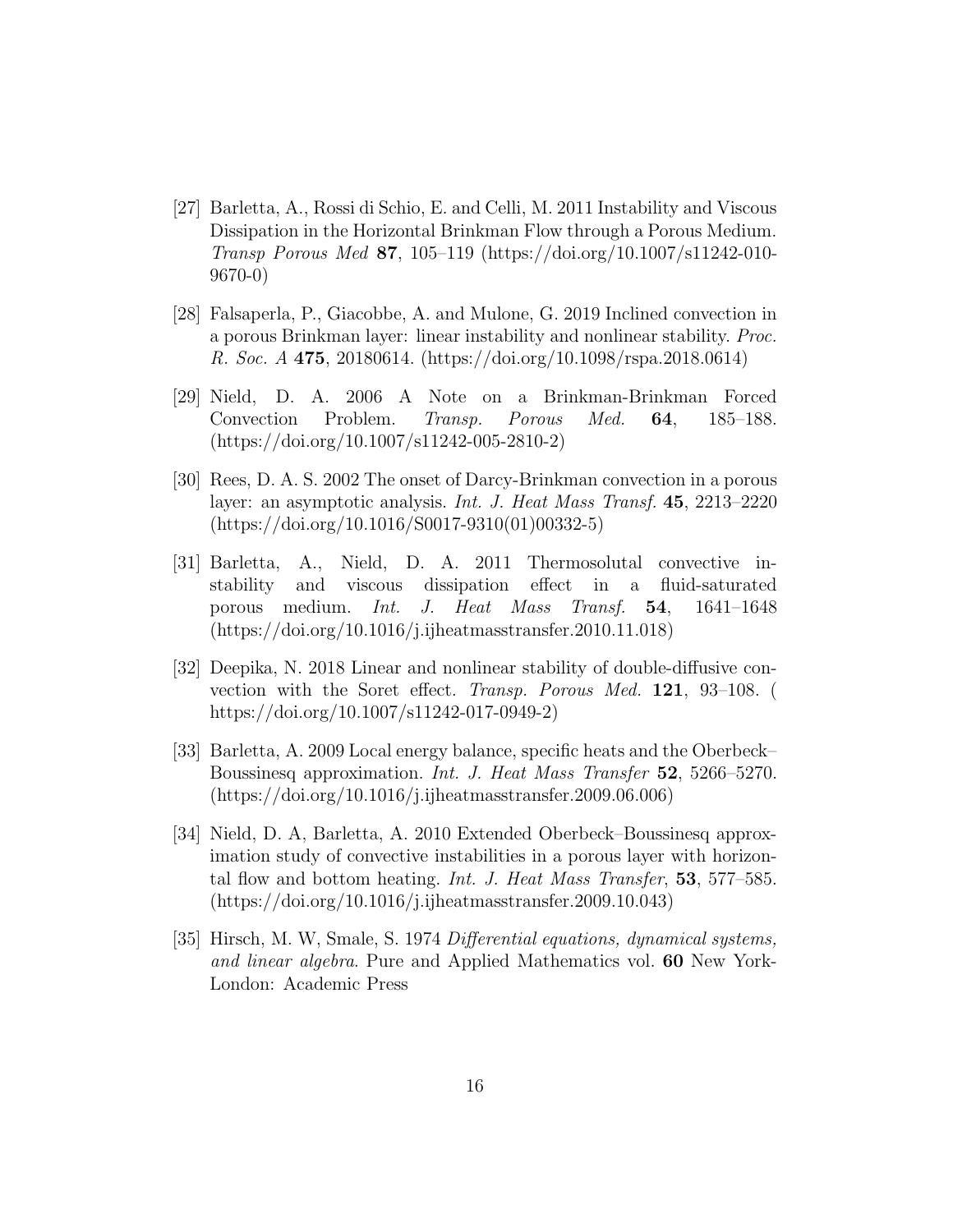- [27] Barletta, A., Rossi di Schio, E. and Celli, M. 2011 Instability and Viscous Dissipation in the Horizontal Brinkman Flow through a Porous Medium. Transp Porous Med 87, 105–119 (https://doi.org/10.1007/s11242-010- 9670-0)
- [28] Falsaperla, P., Giacobbe, A. and Mulone, G. 2019 Inclined convection in a porous Brinkman layer: linear instability and nonlinear stability. Proc. R. Soc. A 475, 20180614. (https://doi.org/10.1098/rspa.2018.0614)
- [29] Nield, D. A. 2006 A Note on a Brinkman-Brinkman Forced Convection Problem. Transp. Porous Med. 64, 185–188. (https://doi.org/10.1007/s11242-005-2810-2)
- [30] Rees, D. A. S. 2002 The onset of Darcy-Brinkman convection in a porous layer: an asymptotic analysis. Int. J. Heat Mass Transf. 45, 2213–2220 (https://doi.org/10.1016/S0017-9310(01)00332-5)
- [31] Barletta, A., Nield, D. A. 2011 Thermosolutal convective instability and viscous dissipation effect in a fluid-saturated porous medium. Int. J. Heat Mass Transf. 54, 1641–1648 (https://doi.org/10.1016/j.ijheatmasstransfer.2010.11.018)
- [32] Deepika, N. 2018 Linear and nonlinear stability of double-diffusive convection with the Soret effect. Transp. Porous Med. 121, 93–108. ( https://doi.org/10.1007/s11242-017-0949-2)
- [33] Barletta, A. 2009 Local energy balance, specific heats and the Oberbeck– Boussinesq approximation. Int. J. Heat Mass Transfer 52, 5266–5270. (https://doi.org/10.1016/j.ijheatmasstransfer.2009.06.006)
- [34] Nield, D. A, Barletta, A. 2010 Extended Oberbeck–Boussinesq approximation study of convective instabilities in a porous layer with horizontal flow and bottom heating. Int. J. Heat Mass Transfer, 53, 577–585. (https://doi.org/10.1016/j.ijheatmasstransfer.2009.10.043)
- [35] Hirsch, M. W, Smale, S. 1974 Differential equations, dynamical systems, and linear algebra. Pure and Applied Mathematics vol. 60 New York-London: Academic Press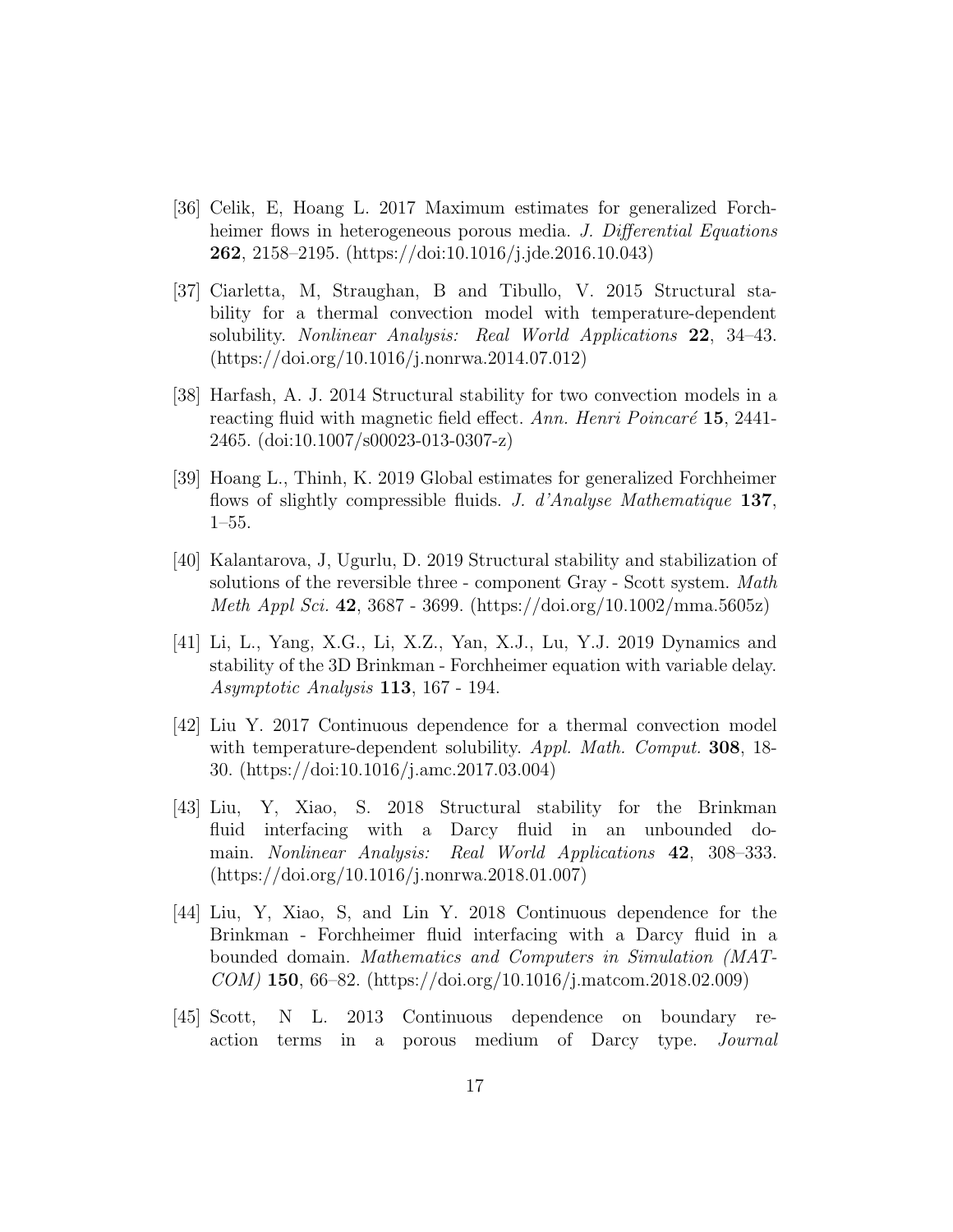- [36] Celik, E, Hoang L. 2017 Maximum estimates for generalized Forchheimer flows in heterogeneous porous media. J. Differential Equations 262, 2158–2195. (https://doi:10.1016/j.jde.2016.10.043)
- [37] Ciarletta, M, Straughan, B and Tibullo, V. 2015 Structural stability for a thermal convection model with temperature-dependent solubility. *Nonlinear Analysis: Real World Applications* 22, 34–43. (https://doi.org/10.1016/j.nonrwa.2014.07.012)
- [38] Harfash, A. J. 2014 Structural stability for two convection models in a reacting fluid with magnetic field effect. Ann. Henri Poincaré  $15, 2441$ -2465. (doi:10.1007/s00023-013-0307-z)
- [39] Hoang L., Thinh, K. 2019 Global estimates for generalized Forchheimer flows of slightly compressible fluids. J. d'Analyse Mathematique 137, 1–55.
- [40] Kalantarova, J, Ugurlu, D. 2019 Structural stability and stabilization of solutions of the reversible three - component Gray - Scott system. Math Meth Appl Sci. 42, 3687 - 3699. (https://doi.org/10.1002/mma.5605z)
- [41] Li, L., Yang, X.G., Li, X.Z., Yan, X.J., Lu, Y.J. 2019 Dynamics and stability of the 3D Brinkman - Forchheimer equation with variable delay. Asymptotic Analysis 113, 167 - 194.
- [42] Liu Y. 2017 Continuous dependence for a thermal convection model with temperature-dependent solubility. Appl. Math. Comput. 308, 18-30. (https://doi:10.1016/j.amc.2017.03.004)
- [43] Liu, Y, Xiao, S. 2018 Structural stability for the Brinkman fluid interfacing with a Darcy fluid in an unbounded domain. Nonlinear Analysis: Real World Applications 42, 308–333. (https://doi.org/10.1016/j.nonrwa.2018.01.007)
- [44] Liu, Y, Xiao, S, and Lin Y. 2018 Continuous dependence for the Brinkman - Forchheimer fluid interfacing with a Darcy fluid in a bounded domain. Mathematics and Computers in Simulation (MAT-COM) 150, 66–82. (https://doi.org/10.1016/j.matcom.2018.02.009)
- [45] Scott, N L. 2013 Continuous dependence on boundary reaction terms in a porous medium of Darcy type. Journal